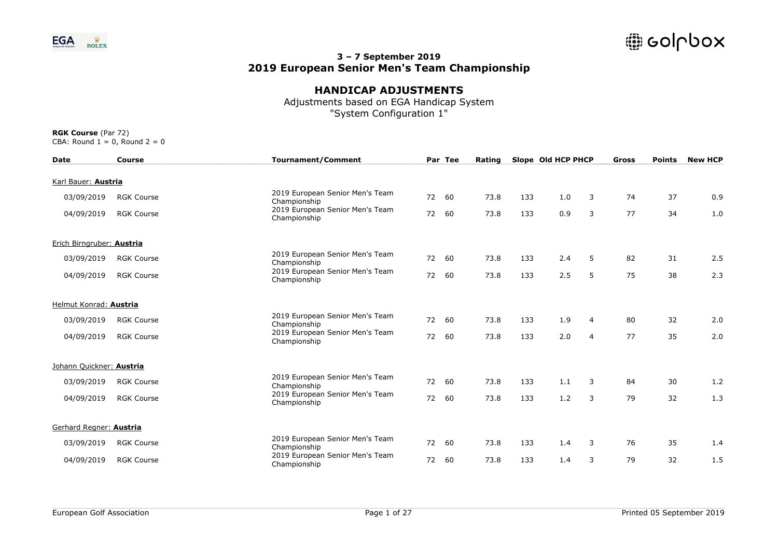

## **HANDICAP ADJUSTMENTS**

Adjustments based on EGA Handicap System "System Configuration 1"

| <b>Date</b>               | <b>Course</b>     | <b>Tournament/Comment</b>                       |    | Par Tee | Rating |     | Slope Old HCP PHCP |                | Gross | <b>Points</b> | <b>New HCP</b> |
|---------------------------|-------------------|-------------------------------------------------|----|---------|--------|-----|--------------------|----------------|-------|---------------|----------------|
| Karl Bauer: Austria       |                   |                                                 |    |         |        |     |                    |                |       |               |                |
| 03/09/2019                | <b>RGK Course</b> | 2019 European Senior Men's Team<br>Championship | 72 | 60      | 73.8   | 133 | 1.0                | 3              | 74    | 37            | 0.9            |
| 04/09/2019                | <b>RGK Course</b> | 2019 European Senior Men's Team<br>Championship | 72 | 60      | 73.8   | 133 | 0.9                | 3              | 77    | 34            | 1.0            |
| Erich Birngruber: Austria |                   |                                                 |    |         |        |     |                    |                |       |               |                |
| 03/09/2019                | <b>RGK Course</b> | 2019 European Senior Men's Team<br>Championship | 72 | 60      | 73.8   | 133 | 2.4                | 5              | 82    | 31            | 2.5            |
| 04/09/2019                | <b>RGK Course</b> | 2019 European Senior Men's Team<br>Championship | 72 | 60      | 73.8   | 133 | 2.5                | 5              | 75    | 38            | 2.3            |
| Helmut Konrad: Austria    |                   |                                                 |    |         |        |     |                    |                |       |               |                |
| 03/09/2019                | <b>RGK Course</b> | 2019 European Senior Men's Team<br>Championship |    | 72 60   | 73.8   | 133 | 1.9                | 4              | 80    | 32            | 2.0            |
| 04/09/2019                | <b>RGK Course</b> | 2019 European Senior Men's Team<br>Championship | 72 | 60      | 73.8   | 133 | 2.0                | $\overline{4}$ | 77    | 35            | 2.0            |
| Johann Quickner: Austria  |                   |                                                 |    |         |        |     |                    |                |       |               |                |
| 03/09/2019                | <b>RGK Course</b> | 2019 European Senior Men's Team<br>Championship | 72 | 60      | 73.8   | 133 | 1.1                | 3              | 84    | 30            | 1.2            |
| 04/09/2019                | <b>RGK Course</b> | 2019 European Senior Men's Team<br>Championship | 72 | 60      | 73.8   | 133 | 1.2                | 3              | 79    | 32            | 1.3            |
| Gerhard Regner: Austria   |                   |                                                 |    |         |        |     |                    |                |       |               |                |
| 03/09/2019                | <b>RGK Course</b> | 2019 European Senior Men's Team<br>Championship | 72 | 60      | 73.8   | 133 | 1.4                | 3              | 76    | 35            | 1.4            |
| 04/09/2019                | <b>RGK Course</b> | 2019 European Senior Men's Team<br>Championship | 72 | 60      | 73.8   | 133 | 1.4                | 3              | 79    | 32            | 1.5            |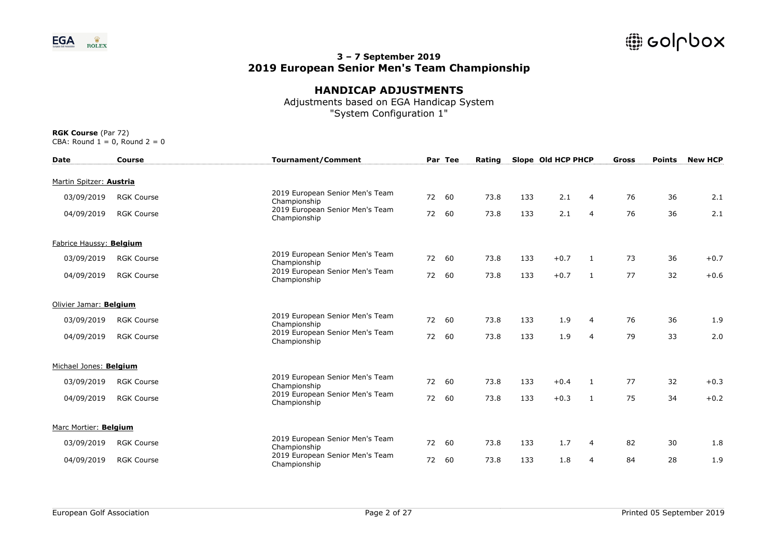

# **HANDICAP ADJUSTMENTS**

Adjustments based on EGA Handicap System "System Configuration 1"

| <b>Date</b>             | <b>Course</b>     | <b>Tournament/Comment</b>                       |       | Par Tee | Rating |     | Slope Old HCP PHCP |                | Gross | <b>Points</b> | <b>New HCP</b> |
|-------------------------|-------------------|-------------------------------------------------|-------|---------|--------|-----|--------------------|----------------|-------|---------------|----------------|
| Martin Spitzer: Austria |                   |                                                 |       |         |        |     |                    |                |       |               |                |
| 03/09/2019              | <b>RGK Course</b> | 2019 European Senior Men's Team<br>Championship | 72    | 60      | 73.8   | 133 | 2.1                | 4              | 76    | 36            | 2.1            |
| 04/09/2019              | <b>RGK Course</b> | 2019 European Senior Men's Team<br>Championship | 72    | 60      | 73.8   | 133 | 2.1                | 4              | 76    | 36            | 2.1            |
| Fabrice Haussy: Belgium |                   |                                                 |       |         |        |     |                    |                |       |               |                |
| 03/09/2019              | <b>RGK Course</b> | 2019 European Senior Men's Team<br>Championship | 72    | 60      | 73.8   | 133 | $+0.7$             | 1              | 73    | 36            | $+0.7$         |
| 04/09/2019              | <b>RGK Course</b> | 2019 European Senior Men's Team<br>Championship | 72    | 60      | 73.8   | 133 | $+0.7$             | 1              | 77    | 32            | $+0.6$         |
| Olivier Jamar: Belgium  |                   |                                                 |       |         |        |     |                    |                |       |               |                |
| 03/09/2019              | <b>RGK Course</b> | 2019 European Senior Men's Team<br>Championship | 72    | 60      | 73.8   | 133 | 1.9                | $\overline{4}$ | 76    | 36            | 1.9            |
| 04/09/2019              | <b>RGK Course</b> | 2019 European Senior Men's Team<br>Championship | 72 60 |         | 73.8   | 133 | 1.9                | $\overline{4}$ | 79    | 33            | 2.0            |
| Michael Jones: Belgium  |                   |                                                 |       |         |        |     |                    |                |       |               |                |
| 03/09/2019              | <b>RGK Course</b> | 2019 European Senior Men's Team<br>Championship | 72    | 60      | 73.8   | 133 | $+0.4$             | 1              | 77    | 32            | $+0.3$         |
| 04/09/2019              | <b>RGK Course</b> | 2019 European Senior Men's Team<br>Championship | 72    | 60      | 73.8   | 133 | $+0.3$             | 1              | 75    | 34            | $+0.2$         |
| Marc Mortier: Belgium   |                   |                                                 |       |         |        |     |                    |                |       |               |                |
| 03/09/2019              | <b>RGK Course</b> | 2019 European Senior Men's Team<br>Championship | 72    | 60      | 73.8   | 133 | 1.7                | 4              | 82    | 30            | 1.8            |
| 04/09/2019              | <b>RGK Course</b> | 2019 European Senior Men's Team<br>Championship | 72    | 60      | 73.8   | 133 | 1.8                | $\overline{4}$ | 84    | 28            | 1.9            |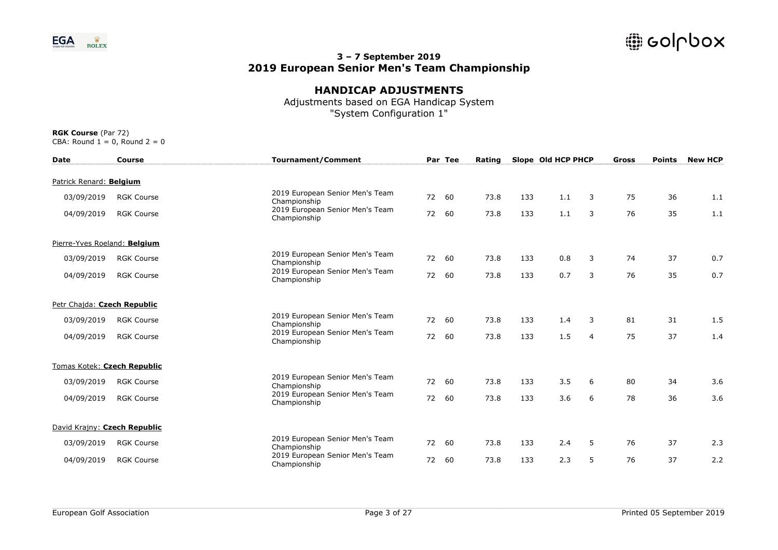

## **HANDICAP ADJUSTMENTS**

Adjustments based on EGA Handicap System "System Configuration 1"

| <b>Date</b>                  | <b>Course</b>     | <b>Tournament/Comment</b>                       |       | Par Tee | Rating |     | Slope Old HCP PHCP |                | <b>Gross</b> | <b>Points</b> | <b>New HCP</b> |
|------------------------------|-------------------|-------------------------------------------------|-------|---------|--------|-----|--------------------|----------------|--------------|---------------|----------------|
| Patrick Renard: Belgium      |                   |                                                 |       |         |        |     |                    |                |              |               |                |
| 03/09/2019                   | <b>RGK Course</b> | 2019 European Senior Men's Team<br>Championship | 72    | 60      | 73.8   | 133 | 1.1                | 3              | 75           | 36            | 1.1            |
| 04/09/2019                   | <b>RGK Course</b> | 2019 European Senior Men's Team<br>Championship | 72    | 60      | 73.8   | 133 | 1.1                | 3              | 76           | 35            | 1.1            |
| Pierre-Yves Roeland: Belgium |                   |                                                 |       |         |        |     |                    |                |              |               |                |
| 03/09/2019                   | <b>RGK Course</b> | 2019 European Senior Men's Team<br>Championship | 72    | 60      | 73.8   | 133 | 0.8                | 3              | 74           | 37            | 0.7            |
| 04/09/2019                   | <b>RGK Course</b> | 2019 European Senior Men's Team<br>Championship | 72    | 60      | 73.8   | 133 | 0.7                | 3              | 76           | 35            | 0.7            |
| Petr Chaida: Czech Republic  |                   |                                                 |       |         |        |     |                    |                |              |               |                |
| 03/09/2019                   | <b>RGK Course</b> | 2019 European Senior Men's Team<br>Championship | 72    | 60      | 73.8   | 133 | 1.4                | 3              | 81           | 31            | 1.5            |
| 04/09/2019                   | <b>RGK Course</b> | 2019 European Senior Men's Team<br>Championship | 72 60 |         | 73.8   | 133 | 1.5                | $\overline{4}$ | 75           | 37            | 1.4            |
| Tomas Kotek: Czech Republic  |                   |                                                 |       |         |        |     |                    |                |              |               |                |
| 03/09/2019                   | <b>RGK Course</b> | 2019 European Senior Men's Team<br>Championship | 72    | 60      | 73.8   | 133 | 3.5                | 6              | 80           | 34            | 3.6            |
| 04/09/2019                   | <b>RGK Course</b> | 2019 European Senior Men's Team<br>Championship | 72    | 60      | 73.8   | 133 | 3.6                | 6              | 78           | 36            | 3.6            |
| David Krajny: Czech Republic |                   |                                                 |       |         |        |     |                    |                |              |               |                |
| 03/09/2019                   | <b>RGK Course</b> | 2019 European Senior Men's Team<br>Championship | 72    | 60      | 73.8   | 133 | 2.4                | 5              | 76           | 37            | 2.3            |
| 04/09/2019                   | <b>RGK Course</b> | 2019 European Senior Men's Team<br>Championship | 72    | 60      | 73.8   | 133 | 2.3                | 5              | 76           | 37            | 2.2            |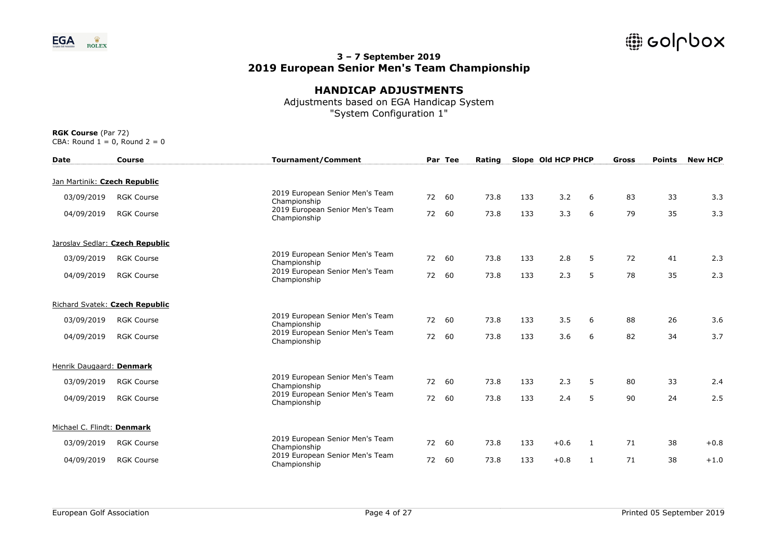

## **HANDICAP ADJUSTMENTS**

Adjustments based on EGA Handicap System "System Configuration 1"

| <b>Date</b>                  | <b>Course</b>                   | <b>Tournament/Comment</b>                       |    | Par Tee | Rating |     | Slope Old HCP PHCP |   | Gross | <b>Points</b> | <b>New HCP</b> |
|------------------------------|---------------------------------|-------------------------------------------------|----|---------|--------|-----|--------------------|---|-------|---------------|----------------|
| Jan Martinik: Czech Republic |                                 |                                                 |    |         |        |     |                    |   |       |               |                |
| 03/09/2019                   | <b>RGK Course</b>               | 2019 European Senior Men's Team<br>Championship | 72 | 60      | 73.8   | 133 | 3.2                | 6 | 83    | 33            | 3.3            |
| 04/09/2019                   | <b>RGK Course</b>               | 2019 European Senior Men's Team<br>Championship | 72 | 60      | 73.8   | 133 | 3.3                | 6 | 79    | 35            | 3.3            |
|                              | Jaroslav Sedlar: Czech Republic |                                                 |    |         |        |     |                    |   |       |               |                |
| 03/09/2019                   | <b>RGK Course</b>               | 2019 European Senior Men's Team<br>Championship | 72 | 60      | 73.8   | 133 | 2.8                | 5 | 72    | 41            | 2.3            |
| 04/09/2019                   | <b>RGK Course</b>               | 2019 European Senior Men's Team<br>Championship | 72 | 60      | 73.8   | 133 | 2.3                | 5 | 78    | 35            | 2.3            |
|                              | Richard Svatek: Czech Republic  |                                                 |    |         |        |     |                    |   |       |               |                |
| 03/09/2019                   | <b>RGK Course</b>               | 2019 European Senior Men's Team<br>Championship |    | 72 60   | 73.8   | 133 | 3.5                | 6 | 88    | 26            | 3.6            |
| 04/09/2019                   | <b>RGK Course</b>               | 2019 European Senior Men's Team<br>Championship |    | 72 60   | 73.8   | 133 | 3.6                | 6 | 82    | 34            | 3.7            |
| Henrik Daugaard: Denmark     |                                 |                                                 |    |         |        |     |                    |   |       |               |                |
| 03/09/2019                   | <b>RGK Course</b>               | 2019 European Senior Men's Team<br>Championship | 72 | 60      | 73.8   | 133 | 2.3                | 5 | 80    | 33            | 2.4            |
| 04/09/2019                   | <b>RGK Course</b>               | 2019 European Senior Men's Team<br>Championship | 72 | 60      | 73.8   | 133 | 2.4                | 5 | 90    | 24            | 2.5            |
| Michael C. Flindt: Denmark   |                                 |                                                 |    |         |        |     |                    |   |       |               |                |
| 03/09/2019                   | <b>RGK Course</b>               | 2019 European Senior Men's Team<br>Championship | 72 | 60      | 73.8   | 133 | $+0.6$             | 1 | 71    | 38            | $+0.8$         |
| 04/09/2019                   | <b>RGK Course</b>               | 2019 European Senior Men's Team<br>Championship | 72 | 60      | 73.8   | 133 | $+0.8$             | 1 | 71    | 38            | $+1.0$         |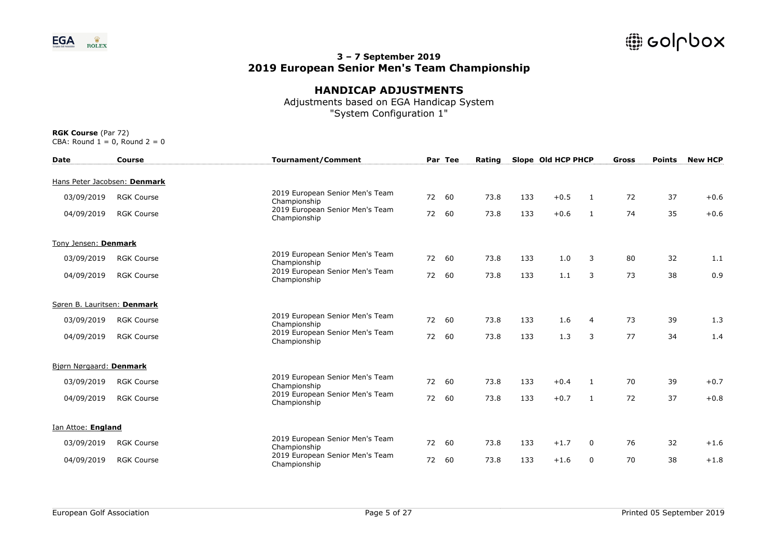

# **HANDICAP ADJUSTMENTS**

Adjustments based on EGA Handicap System "System Configuration 1"

| <b>Date</b>                 | Course                       | <b>Tournament/Comment</b>                       |    | Par Tee | Rating |     | Slope Old HCP PHCP |              | Gross | <b>Points</b> | <b>New HCP</b> |
|-----------------------------|------------------------------|-------------------------------------------------|----|---------|--------|-----|--------------------|--------------|-------|---------------|----------------|
|                             | Hans Peter Jacobsen: Denmark |                                                 |    |         |        |     |                    |              |       |               |                |
| 03/09/2019                  | <b>RGK Course</b>            | 2019 European Senior Men's Team<br>Championship | 72 | 60      | 73.8   | 133 | $+0.5$             | 1            | 72    | 37            | $+0.6$         |
| 04/09/2019                  | <b>RGK Course</b>            | 2019 European Senior Men's Team<br>Championship | 72 | 60      | 73.8   | 133 | $+0.6$             | 1            | 74    | 35            | $+0.6$         |
| Tony Jensen: Denmark        |                              |                                                 |    |         |        |     |                    |              |       |               |                |
| 03/09/2019                  | <b>RGK Course</b>            | 2019 European Senior Men's Team<br>Championship | 72 | 60      | 73.8   | 133 | 1.0                | 3            | 80    | 32            | 1.1            |
| 04/09/2019                  | <b>RGK Course</b>            | 2019 European Senior Men's Team<br>Championship | 72 | 60      | 73.8   | 133 | 1.1                | 3            | 73    | 38            | 0.9            |
| Søren B. Lauritsen: Denmark |                              |                                                 |    |         |        |     |                    |              |       |               |                |
| 03/09/2019                  | <b>RGK Course</b>            | 2019 European Senior Men's Team<br>Championship |    | 72 60   | 73.8   | 133 | 1.6                | 4            | 73    | 39            | 1.3            |
| 04/09/2019                  | <b>RGK Course</b>            | 2019 European Senior Men's Team<br>Championship |    | 72 60   | 73.8   | 133 | 1.3                | 3            | 77    | 34            | 1.4            |
| Bjørn Nørgaard: Denmark     |                              |                                                 |    |         |        |     |                    |              |       |               |                |
| 03/09/2019                  | <b>RGK Course</b>            | 2019 European Senior Men's Team<br>Championship | 72 | 60      | 73.8   | 133 | $+0.4$             | -1           | 70    | 39            | $+0.7$         |
| 04/09/2019                  | <b>RGK Course</b>            | 2019 European Senior Men's Team<br>Championship | 72 | 60      | 73.8   | 133 | $+0.7$             | 1            | 72    | 37            | $+0.8$         |
| <b>Ian Attoe: England</b>   |                              |                                                 |    |         |        |     |                    |              |       |               |                |
| 03/09/2019                  | <b>RGK Course</b>            | 2019 European Senior Men's Team<br>Championship | 72 | 60      | 73.8   | 133 | $+1.7$             | 0            | 76    | 32            | $+1.6$         |
| 04/09/2019                  | <b>RGK Course</b>            | 2019 European Senior Men's Team<br>Championship | 72 | 60      | 73.8   | 133 | $+1.6$             | $\mathbf{0}$ | 70    | 38            | $+1.8$         |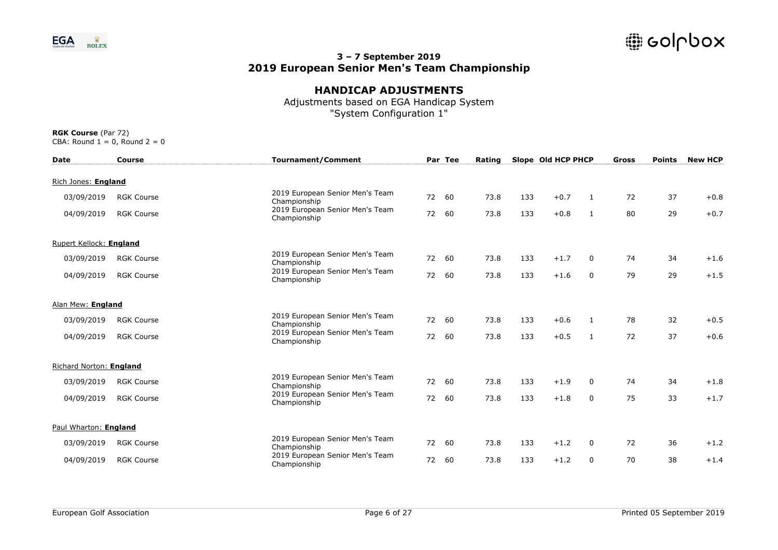

# **HANDICAP ADJUSTMENTS**

Adjustments based on EGA Handicap System "System Configuration 1"

| <b>Date</b>             | <b>Course</b>     | <b>Tournament/Comment</b>                       |       | Par Tee | Rating |     | Slope Old HCP PHCP |              | Gross | <b>Points</b> | <b>New HCP</b> |
|-------------------------|-------------------|-------------------------------------------------|-------|---------|--------|-----|--------------------|--------------|-------|---------------|----------------|
| Rich Jones: England     |                   |                                                 |       |         |        |     |                    |              |       |               |                |
| 03/09/2019              | <b>RGK Course</b> | 2019 European Senior Men's Team<br>Championship | 72    | 60      | 73.8   | 133 | $+0.7$             | 1            | 72    | 37            | $+0.8$         |
| 04/09/2019              | <b>RGK Course</b> | 2019 European Senior Men's Team<br>Championship | 72    | 60      | 73.8   | 133 | $+0.8$             | $\mathbf{1}$ | 80    | 29            | $+0.7$         |
| Rupert Kellock: England |                   |                                                 |       |         |        |     |                    |              |       |               |                |
| 03/09/2019              | <b>RGK Course</b> | 2019 European Senior Men's Team<br>Championship | 72    | 60      | 73.8   | 133 | $+1.7$             | 0            | 74    | 34            | $+1.6$         |
| 04/09/2019              | <b>RGK Course</b> | 2019 European Senior Men's Team<br>Championship | 72    | 60      | 73.8   | 133 | $+1.6$             | 0            | 79    | 29            | $+1.5$         |
| Alan Mew: England       |                   |                                                 |       |         |        |     |                    |              |       |               |                |
| 03/09/2019              | <b>RGK Course</b> | 2019 European Senior Men's Team<br>Championship | 72 60 |         | 73.8   | 133 | $+0.6$             | 1            | 78    | 32            | $+0.5$         |
| 04/09/2019              | <b>RGK Course</b> | 2019 European Senior Men's Team<br>Championship | 72 60 |         | 73.8   | 133 | $+0.5$             | 1            | 72    | 37            | $+0.6$         |
| Richard Norton: England |                   |                                                 |       |         |        |     |                    |              |       |               |                |
| 03/09/2019              | <b>RGK Course</b> | 2019 European Senior Men's Team<br>Championship | 72    | 60      | 73.8   | 133 | $+1.9$             | $\Omega$     | 74    | 34            | $+1.8$         |
| 04/09/2019              | <b>RGK Course</b> | 2019 European Senior Men's Team<br>Championship | 72    | 60      | 73.8   | 133 | $+1.8$             | $\mathbf 0$  | 75    | 33            | $+1.7$         |
| Paul Wharton: England   |                   |                                                 |       |         |        |     |                    |              |       |               |                |
| 03/09/2019              | <b>RGK Course</b> | 2019 European Senior Men's Team<br>Championship | 72    | 60      | 73.8   | 133 | $+1.2$             | 0            | 72    | 36            | $+1.2$         |
| 04/09/2019              | <b>RGK Course</b> | 2019 European Senior Men's Team<br>Championship | 72    | 60      | 73.8   | 133 | $+1.2$             | $\Omega$     | 70    | 38            | $+1.4$         |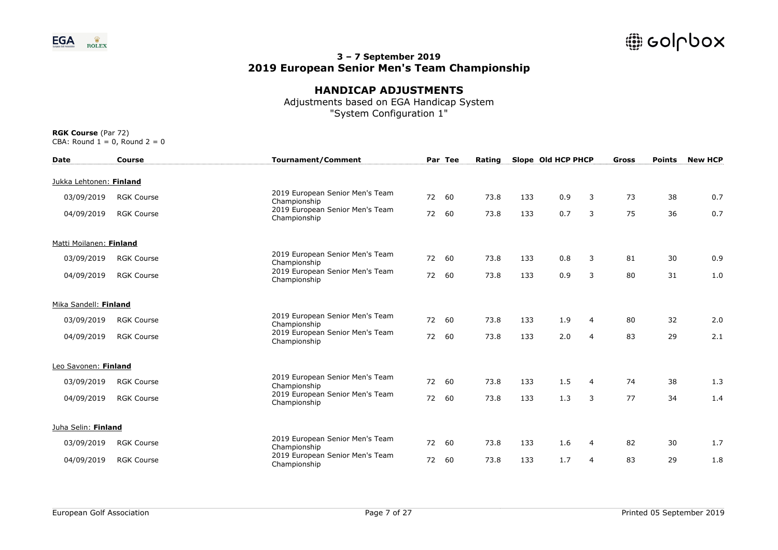

## **HANDICAP ADJUSTMENTS**

Adjustments based on EGA Handicap System "System Configuration 1"

| <b>Date</b>             | Course            | <b>Tournament/Comment</b>                       |       | Par Tee | Rating |     | Slope Old HCP PHCP |                | Gross | <b>Points</b> | <b>New HCP</b> |
|-------------------------|-------------------|-------------------------------------------------|-------|---------|--------|-----|--------------------|----------------|-------|---------------|----------------|
| Jukka Lehtonen: Finland |                   |                                                 |       |         |        |     |                    |                |       |               |                |
| 03/09/2019              | <b>RGK Course</b> | 2019 European Senior Men's Team<br>Championship | 72 60 |         | 73.8   | 133 | 0.9                | 3              | 73    | 38            | 0.7            |
| 04/09/2019              | <b>RGK Course</b> | 2019 European Senior Men's Team<br>Championship | 72    | 60      | 73.8   | 133 | 0.7                | 3              | 75    | 36            | 0.7            |
| Matti Moilanen: Finland |                   |                                                 |       |         |        |     |                    |                |       |               |                |
| 03/09/2019              | <b>RGK Course</b> | 2019 European Senior Men's Team<br>Championship | 72    | 60      | 73.8   | 133 | 0.8                | 3              | 81    | 30            | 0.9            |
| 04/09/2019              | <b>RGK Course</b> | 2019 European Senior Men's Team<br>Championship | 72    | 60      | 73.8   | 133 | 0.9                | 3              | 80    | 31            | 1.0            |
| Mika Sandell: Finland   |                   |                                                 |       |         |        |     |                    |                |       |               |                |
| 03/09/2019              | <b>RGK Course</b> | 2019 European Senior Men's Team<br>Championship | 72 60 |         | 73.8   | 133 | 1.9                | 4              | 80    | 32            | 2.0            |
| 04/09/2019              | <b>RGK Course</b> | 2019 European Senior Men's Team<br>Championship | 72 60 |         | 73.8   | 133 | 2.0                | 4              | 83    | 29            | 2.1            |
| Leo Savonen: Finland    |                   |                                                 |       |         |        |     |                    |                |       |               |                |
| 03/09/2019              | <b>RGK Course</b> | 2019 European Senior Men's Team<br>Championship | 72 60 |         | 73.8   | 133 | 1.5                | 4              | 74    | 38            | 1.3            |
| 04/09/2019              | <b>RGK Course</b> | 2019 European Senior Men's Team<br>Championship | 72    | 60      | 73.8   | 133 | 1.3                | 3              | 77    | 34            | 1.4            |
| Juha Selin: Finland     |                   |                                                 |       |         |        |     |                    |                |       |               |                |
| 03/09/2019              | <b>RGK Course</b> | 2019 European Senior Men's Team<br>Championship | 72    | 60      | 73.8   | 133 | 1.6                | $\overline{4}$ | 82    | 30            | 1.7            |
| 04/09/2019              | <b>RGK Course</b> | 2019 European Senior Men's Team<br>Championship | 72    | 60      | 73.8   | 133 | 1.7                | 4              | 83    | 29            | 1.8            |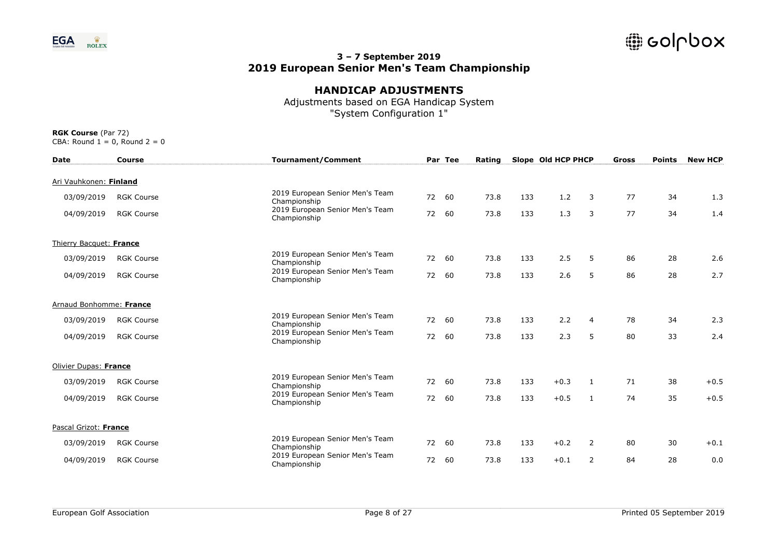

## **HANDICAP ADJUSTMENTS**

Adjustments based on EGA Handicap System "System Configuration 1"

| <b>Date</b>             | Course            |              | <b>Tournament/Comment</b>       |    | Par Tee | Rating |     | Slope Old HCP PHCP |                | Gross | <b>Points</b> | <b>New HCP</b> |
|-------------------------|-------------------|--------------|---------------------------------|----|---------|--------|-----|--------------------|----------------|-------|---------------|----------------|
| Ari Vauhkonen: Finland  |                   |              |                                 |    |         |        |     |                    |                |       |               |                |
| 03/09/2019              | <b>RGK Course</b> | Championship | 2019 European Senior Men's Team | 72 | 60      | 73.8   | 133 | 1.2                | 3              | 77    | 34            | 1.3            |
| 04/09/2019              | <b>RGK Course</b> | Championship | 2019 European Senior Men's Team | 72 | 60      | 73.8   | 133 | 1.3                | 3              | 77    | 34            | 1.4            |
| Thierry Bacquet: France |                   |              |                                 |    |         |        |     |                    |                |       |               |                |
| 03/09/2019              | <b>RGK Course</b> | Championship | 2019 European Senior Men's Team | 72 | 60      | 73.8   | 133 | 2.5                | 5              | 86    | 28            | 2.6            |
| 04/09/2019              | <b>RGK Course</b> | Championship | 2019 European Senior Men's Team | 72 | 60      | 73.8   | 133 | 2.6                | 5              | 86    | 28            | 2.7            |
| Arnaud Bonhomme: France |                   |              |                                 |    |         |        |     |                    |                |       |               |                |
| 03/09/2019              | <b>RGK Course</b> | Championship | 2019 European Senior Men's Team |    | 72 60   | 73.8   | 133 | 2.2                | 4              | 78    | 34            | 2.3            |
| 04/09/2019              | <b>RGK Course</b> | Championship | 2019 European Senior Men's Team |    | 72 60   | 73.8   | 133 | 2.3                | 5              | 80    | 33            | 2.4            |
| Olivier Dupas: France   |                   |              |                                 |    |         |        |     |                    |                |       |               |                |
| 03/09/2019              | <b>RGK Course</b> | Championship | 2019 European Senior Men's Team | 72 | 60      | 73.8   | 133 | $+0.3$             | -1             | 71    | 38            | $+0.5$         |
| 04/09/2019              | <b>RGK Course</b> | Championship | 2019 European Senior Men's Team | 72 | 60      | 73.8   | 133 | $+0.5$             | 1              | 74    | 35            | $+0.5$         |
| Pascal Grizot: France   |                   |              |                                 |    |         |        |     |                    |                |       |               |                |
| 03/09/2019              | <b>RGK Course</b> | Championship | 2019 European Senior Men's Team | 72 | 60      | 73.8   | 133 | $+0.2$             | $\overline{2}$ | 80    | 30            | $+0.1$         |
| 04/09/2019              | <b>RGK Course</b> | Championship | 2019 European Senior Men's Team | 72 | 60      | 73.8   | 133 | $+0.1$             | $\overline{2}$ | 84    | 28            | 0.0            |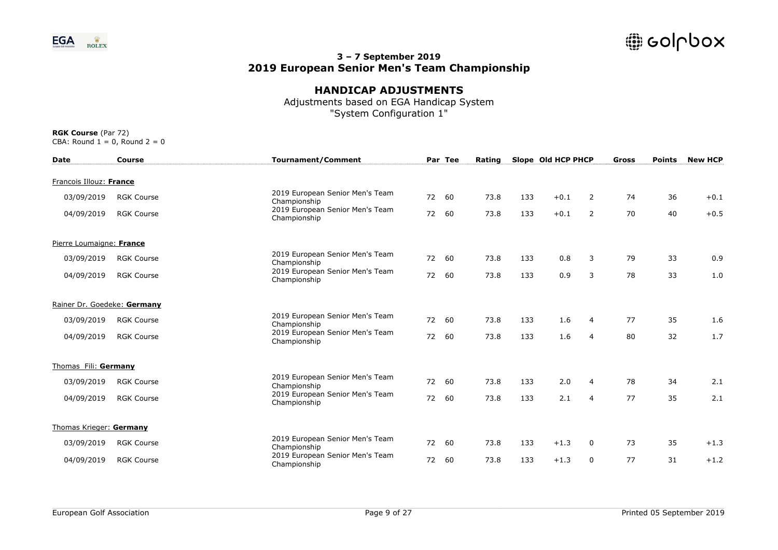

# **HANDICAP ADJUSTMENTS**

Adjustments based on EGA Handicap System "System Configuration 1"

| <b>Date</b>                 | <b>Course</b>     | <b>Tournament/Comment</b>                       |    | Par Tee | Rating |     | Slope Old HCP PHCP |                | Gross | <b>Points</b> | <b>New HCP</b> |
|-----------------------------|-------------------|-------------------------------------------------|----|---------|--------|-----|--------------------|----------------|-------|---------------|----------------|
| Francois Illouz: France     |                   |                                                 |    |         |        |     |                    |                |       |               |                |
| 03/09/2019                  | <b>RGK Course</b> | 2019 European Senior Men's Team<br>Championship | 72 | 60      | 73.8   | 133 | $+0.1$             | 2              | 74    | 36            | $+0.1$         |
| 04/09/2019                  | <b>RGK Course</b> | 2019 European Senior Men's Team<br>Championship | 72 | 60      | 73.8   | 133 | $+0.1$             | 2              | 70    | 40            | $+0.5$         |
| Pierre Loumaigne: France    |                   |                                                 |    |         |        |     |                    |                |       |               |                |
| 03/09/2019                  | <b>RGK Course</b> | 2019 European Senior Men's Team<br>Championship | 72 | 60      | 73.8   | 133 | 0.8                | 3              | 79    | 33            | 0.9            |
| 04/09/2019                  | <b>RGK Course</b> | 2019 European Senior Men's Team<br>Championship | 72 | 60      | 73.8   | 133 | 0.9                | 3              | 78    | 33            | 1.0            |
| Rainer Dr. Goedeke: Germany |                   |                                                 |    |         |        |     |                    |                |       |               |                |
| 03/09/2019                  | <b>RGK Course</b> | 2019 European Senior Men's Team<br>Championship |    | 72 60   | 73.8   | 133 | 1.6                | 4              | 77    | 35            | 1.6            |
| 04/09/2019                  | <b>RGK Course</b> | 2019 European Senior Men's Team<br>Championship |    | 72 60   | 73.8   | 133 | 1.6                | 4              | 80    | 32            | 1.7            |
| Thomas Fili: Germany        |                   |                                                 |    |         |        |     |                    |                |       |               |                |
| 03/09/2019                  | <b>RGK Course</b> | 2019 European Senior Men's Team<br>Championship | 72 | 60      | 73.8   | 133 | 2.0                | 4              | 78    | 34            | 2.1            |
| 04/09/2019                  | <b>RGK Course</b> | 2019 European Senior Men's Team<br>Championship | 72 | 60      | 73.8   | 133 | 2.1                | $\overline{4}$ | 77    | 35            | 2.1            |
| Thomas Krieger: Germany     |                   |                                                 |    |         |        |     |                    |                |       |               |                |
| 03/09/2019                  | <b>RGK Course</b> | 2019 European Senior Men's Team<br>Championship | 72 | 60      | 73.8   | 133 | $+1.3$             | 0              | 73    | 35            | $+1.3$         |
| 04/09/2019                  | <b>RGK Course</b> | 2019 European Senior Men's Team<br>Championship | 72 | 60      | 73.8   | 133 | $+1.3$             | 0              | 77    | 31            | $+1.2$         |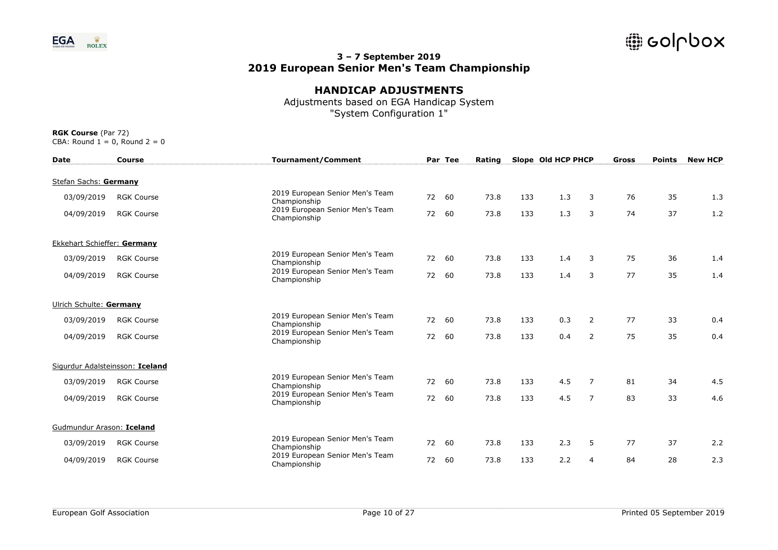

# **HANDICAP ADJUSTMENTS**

Adjustments based on EGA Handicap System "System Configuration 1"

| <b>Date</b>                 | <b>Course</b>                   | <b>Tournament/Comment</b>                       |       | Par Tee | Rating |     | Slope Old HCP PHCP |                | Gross | <b>Points</b> | <b>New HCP</b> |
|-----------------------------|---------------------------------|-------------------------------------------------|-------|---------|--------|-----|--------------------|----------------|-------|---------------|----------------|
| Stefan Sachs: Germany       |                                 |                                                 |       |         |        |     |                    |                |       |               |                |
| 03/09/2019                  | <b>RGK Course</b>               | 2019 European Senior Men's Team<br>Championship | 72    | 60      | 73.8   | 133 | 1.3                | 3              | 76    | 35            | 1.3            |
| 04/09/2019                  | <b>RGK Course</b>               | 2019 European Senior Men's Team<br>Championship | 72    | 60      | 73.8   | 133 | 1.3                | 3              | 74    | 37            | 1.2            |
| Ekkehart Schieffer: Germany |                                 |                                                 |       |         |        |     |                    |                |       |               |                |
| 03/09/2019                  | <b>RGK Course</b>               | 2019 European Senior Men's Team<br>Championship | 72    | 60      | 73.8   | 133 | 1.4                | 3              | 75    | 36            | 1.4            |
| 04/09/2019                  | <b>RGK Course</b>               | 2019 European Senior Men's Team<br>Championship | 72    | 60      | 73.8   | 133 | 1.4                | 3              | 77    | 35            | 1.4            |
| Ulrich Schulte: Germany     |                                 |                                                 |       |         |        |     |                    |                |       |               |                |
| 03/09/2019                  | <b>RGK Course</b>               | 2019 European Senior Men's Team<br>Championship | 72    | 60      | 73.8   | 133 | 0.3                | 2              | 77    | 33            | 0.4            |
| 04/09/2019                  | <b>RGK Course</b>               | 2019 European Senior Men's Team<br>Championship | 72 60 |         | 73.8   | 133 | 0.4                | 2              | 75    | 35            | 0.4            |
|                             | Sigurdur Adalsteinsson: Iceland |                                                 |       |         |        |     |                    |                |       |               |                |
| 03/09/2019                  | <b>RGK Course</b>               | 2019 European Senior Men's Team<br>Championship | 72    | 60      | 73.8   | 133 | 4.5                | $\overline{7}$ | 81    | 34            | 4.5            |
| 04/09/2019                  | <b>RGK Course</b>               | 2019 European Senior Men's Team<br>Championship | 72    | 60      | 73.8   | 133 | 4.5                | $\overline{7}$ | 83    | 33            | 4.6            |
| Gudmundur Arason: Iceland   |                                 |                                                 |       |         |        |     |                    |                |       |               |                |
| 03/09/2019                  | <b>RGK Course</b>               | 2019 European Senior Men's Team<br>Championship | 72    | 60      | 73.8   | 133 | 2.3                | 5              | 77    | 37            | 2.2            |
| 04/09/2019                  | <b>RGK Course</b>               | 2019 European Senior Men's Team<br>Championship | 72    | 60      | 73.8   | 133 | 2.2                | 4              | 84    | 28            | 2.3            |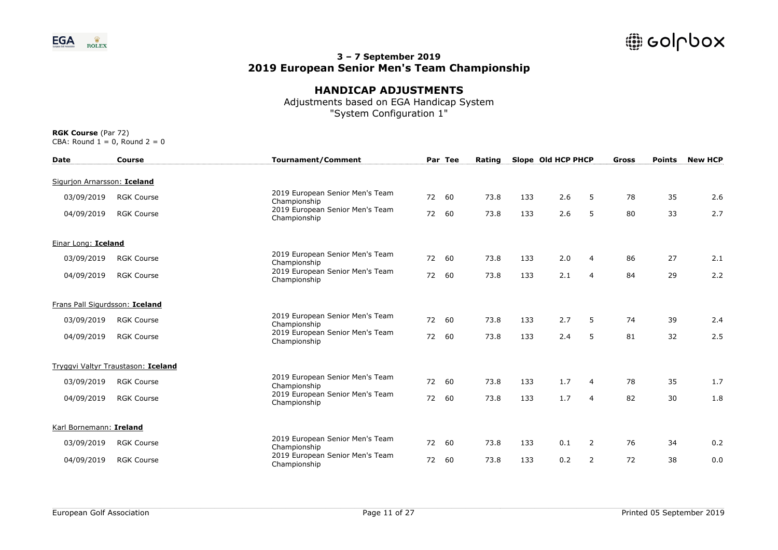

# **HANDICAP ADJUSTMENTS**

Adjustments based on EGA Handicap System "System Configuration 1"

| <b>Date</b>                    | Course                             | <b>Tournament/Comment</b>                       |    | Par Tee | Rating |     | Slope Old HCP PHCP |                | Gross | <b>Points</b> | <b>New HCP</b> |
|--------------------------------|------------------------------------|-------------------------------------------------|----|---------|--------|-----|--------------------|----------------|-------|---------------|----------------|
| Sigurion Arnarsson: Iceland    |                                    |                                                 |    |         |        |     |                    |                |       |               |                |
| 03/09/2019                     | <b>RGK Course</b>                  | 2019 European Senior Men's Team<br>Championship | 72 | 60      | 73.8   | 133 | 2.6                | 5              | 78    | 35            | 2.6            |
| 04/09/2019                     | <b>RGK Course</b>                  | 2019 European Senior Men's Team<br>Championship | 72 | 60      | 73.8   | 133 | 2.6                | 5              | 80    | 33            | 2.7            |
| Einar Long: Iceland            |                                    |                                                 |    |         |        |     |                    |                |       |               |                |
| 03/09/2019                     | <b>RGK Course</b>                  | 2019 European Senior Men's Team<br>Championship | 72 | 60      | 73.8   | 133 | 2.0                | 4              | 86    | 27            | 2.1            |
| 04/09/2019                     | <b>RGK Course</b>                  | 2019 European Senior Men's Team<br>Championship | 72 | 60      | 73.8   | 133 | 2.1                | $\overline{4}$ | 84    | 29            | 2.2            |
| Frans Pall Sigurdsson: Iceland |                                    |                                                 |    |         |        |     |                    |                |       |               |                |
| 03/09/2019                     | <b>RGK Course</b>                  | 2019 European Senior Men's Team<br>Championship |    | 72 60   | 73.8   | 133 | 2.7                | 5              | 74    | 39            | 2.4            |
| 04/09/2019                     | <b>RGK Course</b>                  | 2019 European Senior Men's Team<br>Championship | 72 | 60      | 73.8   | 133 | 2.4                | 5              | 81    | 32            | 2.5            |
|                                | Tryggvi Valtyr Traustason: Iceland |                                                 |    |         |        |     |                    |                |       |               |                |
| 03/09/2019                     | <b>RGK Course</b>                  | 2019 European Senior Men's Team<br>Championship | 72 | 60      | 73.8   | 133 | 1.7                | 4              | 78    | 35            | 1.7            |
| 04/09/2019                     | <b>RGK Course</b>                  | 2019 European Senior Men's Team<br>Championship | 72 | 60      | 73.8   | 133 | 1.7                | $\overline{4}$ | 82    | 30            | 1.8            |
| Karl Bornemann: Ireland        |                                    |                                                 |    |         |        |     |                    |                |       |               |                |
| 03/09/2019                     | <b>RGK Course</b>                  | 2019 European Senior Men's Team<br>Championship | 72 | 60      | 73.8   | 133 | 0.1                | 2              | 76    | 34            | 0.2            |
| 04/09/2019                     | <b>RGK Course</b>                  | 2019 European Senior Men's Team<br>Championship | 72 | 60      | 73.8   | 133 | 0.2                | $\overline{2}$ | 72    | 38            | 0.0            |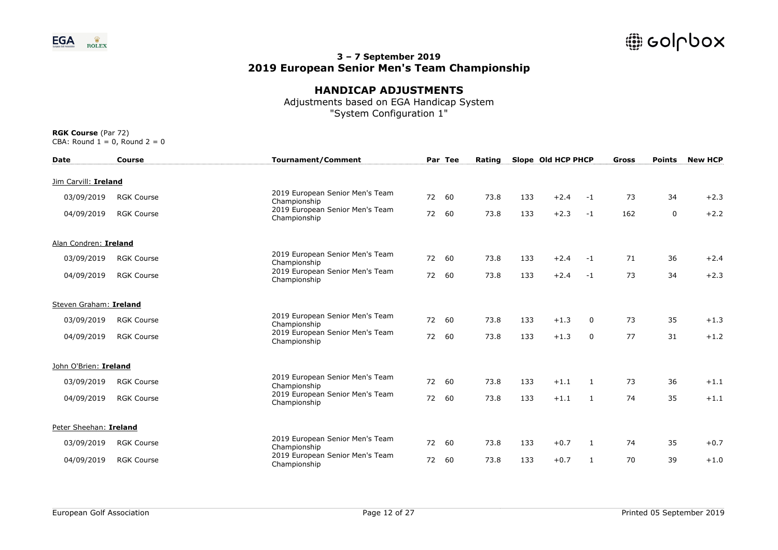

# **HANDICAP ADJUSTMENTS**

Adjustments based on EGA Handicap System "System Configuration 1"

| <b>Date</b>            | <b>Course</b>     | <b>Tournament/Comment</b>                       |       | Par Tee | Rating |     | Slope Old HCP PHCP |          | <b>Gross</b> | <b>Points</b> | <b>New HCP</b> |
|------------------------|-------------------|-------------------------------------------------|-------|---------|--------|-----|--------------------|----------|--------------|---------------|----------------|
| Jim Carvill: Ireland   |                   |                                                 |       |         |        |     |                    |          |              |               |                |
| 03/09/2019             | <b>RGK Course</b> | 2019 European Senior Men's Team<br>Championship | 72    | 60      | 73.8   | 133 | $+2.4$             | $-1$     | 73           | 34            | $+2.3$         |
| 04/09/2019             | <b>RGK Course</b> | 2019 European Senior Men's Team<br>Championship | 72    | 60      | 73.8   | 133 | $+2.3$             | $-1$     | 162          | 0             | $+2.2$         |
| Alan Condren: Ireland  |                   |                                                 |       |         |        |     |                    |          |              |               |                |
| 03/09/2019             | <b>RGK Course</b> | 2019 European Senior Men's Team<br>Championship | 72    | 60      | 73.8   | 133 | $+2.4$             | $-1$     | 71           | 36            | $+2.4$         |
| 04/09/2019             | <b>RGK Course</b> | 2019 European Senior Men's Team<br>Championship | 72    | 60      | 73.8   | 133 | $+2.4$             | $-1$     | 73           | 34            | $+2.3$         |
| Steven Graham: Ireland |                   |                                                 |       |         |        |     |                    |          |              |               |                |
| 03/09/2019             | <b>RGK Course</b> | 2019 European Senior Men's Team<br>Championship | 72 60 |         | 73.8   | 133 | $+1.3$             | $\Omega$ | 73           | 35            | $+1.3$         |
| 04/09/2019             | <b>RGK Course</b> | 2019 European Senior Men's Team<br>Championship | 72 60 |         | 73.8   | 133 | $+1.3$             | 0        | 77           | 31            | $+1.2$         |
| John O'Brien: Ireland  |                   |                                                 |       |         |        |     |                    |          |              |               |                |
| 03/09/2019             | <b>RGK Course</b> | 2019 European Senior Men's Team<br>Championship | 72    | 60      | 73.8   | 133 | $+1.1$             | 1        | 73           | 36            | $+1.1$         |
| 04/09/2019             | <b>RGK Course</b> | 2019 European Senior Men's Team<br>Championship | 72    | 60      | 73.8   | 133 | $+1.1$             | 1        | 74           | 35            | $+1.1$         |
| Peter Sheehan: Ireland |                   |                                                 |       |         |        |     |                    |          |              |               |                |
| 03/09/2019             | <b>RGK Course</b> | 2019 European Senior Men's Team<br>Championship | 72    | 60      | 73.8   | 133 | $+0.7$             | 1        | 74           | 35            | $+0.7$         |
| 04/09/2019             | <b>RGK Course</b> | 2019 European Senior Men's Team<br>Championship | 72    | 60      | 73.8   | 133 | $+0.7$             | 1        | 70           | 39            | $+1.0$         |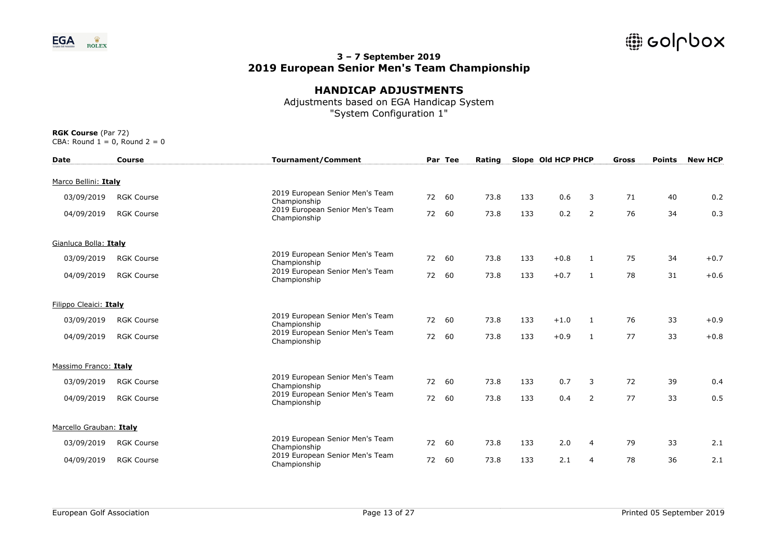

# **HANDICAP ADJUSTMENTS**

Adjustments based on EGA Handicap System "System Configuration 1"

| <b>Date</b>             | <b>Course</b>     | <b>Tournament/Comment</b>                       |       | Par Tee | Rating |     | Slope Old HCP PHCP |                | <b>Gross</b> | <b>Points</b> | <b>New HCP</b> |
|-------------------------|-------------------|-------------------------------------------------|-------|---------|--------|-----|--------------------|----------------|--------------|---------------|----------------|
| Marco Bellini: Italy    |                   |                                                 |       |         |        |     |                    |                |              |               |                |
| 03/09/2019              | <b>RGK Course</b> | 2019 European Senior Men's Team<br>Championship | 72    | 60      | 73.8   | 133 | 0.6                | 3              | 71           | 40            | 0.2            |
| 04/09/2019              | <b>RGK Course</b> | 2019 European Senior Men's Team<br>Championship | 72    | 60      | 73.8   | 133 | 0.2                | 2              | 76           | 34            | 0.3            |
| Gianluca Bolla: Italy   |                   |                                                 |       |         |        |     |                    |                |              |               |                |
| 03/09/2019              | <b>RGK Course</b> | 2019 European Senior Men's Team<br>Championship | 72    | 60      | 73.8   | 133 | $+0.8$             | $\mathbf{1}$   | 75           | 34            | $+0.7$         |
| 04/09/2019              | <b>RGK Course</b> | 2019 European Senior Men's Team<br>Championship | 72    | 60      | 73.8   | 133 | $+0.7$             | $\mathbf{1}$   | 78           | 31            | $+0.6$         |
| Filippo Cleaici: Italy  |                   |                                                 |       |         |        |     |                    |                |              |               |                |
| 03/09/2019              | <b>RGK Course</b> | 2019 European Senior Men's Team<br>Championship | 72 60 |         | 73.8   | 133 | $+1.0$             | 1              | 76           | 33            | $+0.9$         |
| 04/09/2019              | <b>RGK Course</b> | 2019 European Senior Men's Team<br>Championship |       | 72 60   | 73.8   | 133 | $+0.9$             | 1              | 77           | 33            | $+0.8$         |
| Massimo Franco: Italy   |                   |                                                 |       |         |        |     |                    |                |              |               |                |
| 03/09/2019              | <b>RGK Course</b> | 2019 European Senior Men's Team<br>Championship | 72    | 60      | 73.8   | 133 | 0.7                | 3              | 72           | 39            | 0.4            |
| 04/09/2019              | <b>RGK Course</b> | 2019 European Senior Men's Team<br>Championship | 72    | 60      | 73.8   | 133 | 0.4                | 2              | 77           | 33            | 0.5            |
| Marcello Grauban: Italy |                   |                                                 |       |         |        |     |                    |                |              |               |                |
| 03/09/2019              | <b>RGK Course</b> | 2019 European Senior Men's Team<br>Championship | 72    | 60      | 73.8   | 133 | 2.0                | 4              | 79           | 33            | 2.1            |
| 04/09/2019              | <b>RGK Course</b> | 2019 European Senior Men's Team<br>Championship | 72    | 60      | 73.8   | 133 | 2.1                | $\overline{4}$ | 78           | 36            | 2.1            |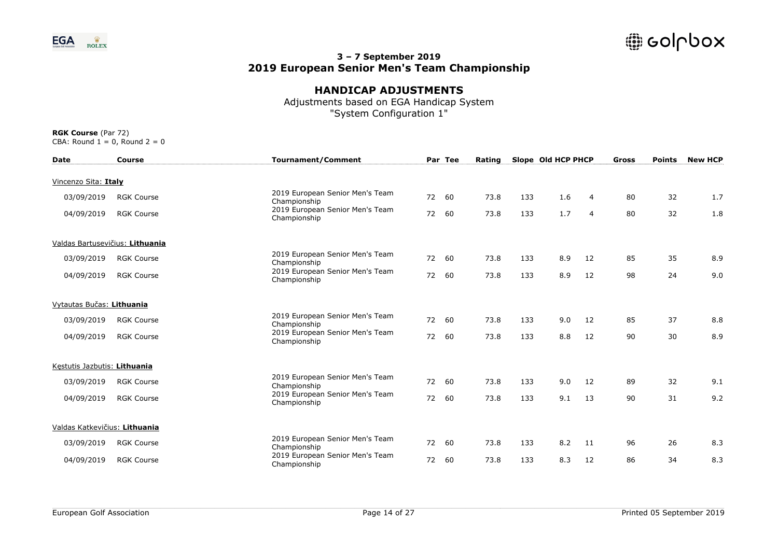

## **HANDICAP ADJUSTMENTS**

Adjustments based on EGA Handicap System "System Configuration 1"

| <b>Date</b>                     | <b>Course</b>     | <b>Tournament/Comment</b>                       |    | Par Tee | Rating |     | Slope Old HCP PHCP |                | Gross | <b>Points</b> | <b>New HCP</b> |
|---------------------------------|-------------------|-------------------------------------------------|----|---------|--------|-----|--------------------|----------------|-------|---------------|----------------|
| Vincenzo Sita: Italy            |                   |                                                 |    |         |        |     |                    |                |       |               |                |
| 03/09/2019                      | <b>RGK Course</b> | 2019 European Senior Men's Team<br>Championship | 72 | 60      | 73.8   | 133 | 1.6                | 4              | 80    | 32            | 1.7            |
| 04/09/2019                      | <b>RGK Course</b> | 2019 European Senior Men's Team<br>Championship | 72 | 60      | 73.8   | 133 | 1.7                | $\overline{4}$ | 80    | 32            | 1.8            |
| Valdas Bartusevičius: Lithuania |                   |                                                 |    |         |        |     |                    |                |       |               |                |
| 03/09/2019                      | <b>RGK Course</b> | 2019 European Senior Men's Team<br>Championship | 72 | 60      | 73.8   | 133 | 8.9                | 12             | 85    | 35            | 8.9            |
| 04/09/2019                      | <b>RGK Course</b> | 2019 European Senior Men's Team<br>Championship | 72 | 60      | 73.8   | 133 | 8.9                | 12             | 98    | 24            | 9.0            |
| Vytautas Bučas: Lithuania       |                   |                                                 |    |         |        |     |                    |                |       |               |                |
| 03/09/2019                      | <b>RGK Course</b> | 2019 European Senior Men's Team<br>Championship |    | 72 60   | 73.8   | 133 | 9.0                | 12             | 85    | 37            | 8.8            |
| 04/09/2019                      | <b>RGK Course</b> | 2019 European Senior Men's Team<br>Championship | 72 | 60      | 73.8   | 133 | 8.8                | 12             | 90    | 30            | 8.9            |
| Kestutis Jazbutis: Lithuania    |                   |                                                 |    |         |        |     |                    |                |       |               |                |
| 03/09/2019                      | <b>RGK Course</b> | 2019 European Senior Men's Team<br>Championship | 72 | 60      | 73.8   | 133 | 9.0                | 12             | 89    | 32            | 9.1            |
| 04/09/2019                      | <b>RGK Course</b> | 2019 European Senior Men's Team<br>Championship | 72 | 60      | 73.8   | 133 | 9.1                | 13             | 90    | 31            | 9.2            |
| Valdas Katkevičius: Lithuania   |                   |                                                 |    |         |        |     |                    |                |       |               |                |
| 03/09/2019                      | <b>RGK Course</b> | 2019 European Senior Men's Team<br>Championship | 72 | 60      | 73.8   | 133 | 8.2                | 11             | 96    | 26            | 8.3            |
| 04/09/2019                      | <b>RGK Course</b> | 2019 European Senior Men's Team<br>Championship | 72 | 60      | 73.8   | 133 | 8.3                | 12             | 86    | 34            | 8.3            |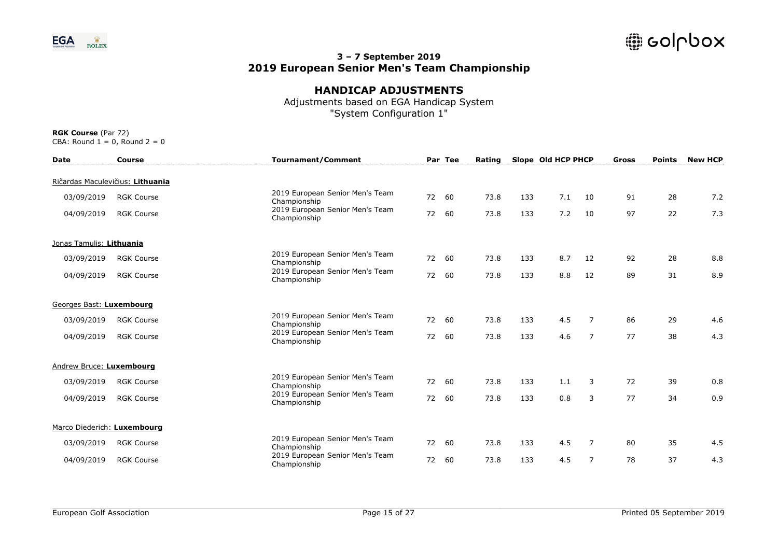

# **HANDICAP ADJUSTMENTS**

Adjustments based on EGA Handicap System "System Configuration 1"

| <b>Date</b>                 | Course                           | <b>Tournament/Comment</b>                       |    | Par Tee | Rating |     | Slope Old HCP PHCP |                | <b>Gross</b> | <b>Points</b> | <b>New HCP</b> |
|-----------------------------|----------------------------------|-------------------------------------------------|----|---------|--------|-----|--------------------|----------------|--------------|---------------|----------------|
|                             | Ričardas Maculevičius: Lithuania |                                                 |    |         |        |     |                    |                |              |               |                |
| 03/09/2019                  | <b>RGK Course</b>                | 2019 European Senior Men's Team<br>Championship | 72 | 60      | 73.8   | 133 | 7.1                | 10             | 91           | 28            | 7.2            |
| 04/09/2019                  | <b>RGK Course</b>                | 2019 European Senior Men's Team<br>Championship | 72 | 60      | 73.8   | 133 | 7.2                | 10             | 97           | 22            | 7.3            |
| Jonas Tamulis: Lithuania    |                                  |                                                 |    |         |        |     |                    |                |              |               |                |
| 03/09/2019                  | <b>RGK Course</b>                | 2019 European Senior Men's Team<br>Championship | 72 | 60      | 73.8   | 133 | 8.7                | 12             | 92           | 28            | 8.8            |
| 04/09/2019                  | <b>RGK Course</b>                | 2019 European Senior Men's Team<br>Championship | 72 | 60      | 73.8   | 133 | 8.8                | 12             | 89           | 31            | 8.9            |
| Georges Bast: Luxembourg    |                                  |                                                 |    |         |        |     |                    |                |              |               |                |
| 03/09/2019                  | <b>RGK Course</b>                | 2019 European Senior Men's Team<br>Championship |    | 72 60   | 73.8   | 133 | 4.5                | 7              | 86           | 29            | 4.6            |
| 04/09/2019                  | <b>RGK Course</b>                | 2019 European Senior Men's Team<br>Championship | 72 | 60      | 73.8   | 133 | 4.6                | $\overline{7}$ | 77           | 38            | 4.3            |
| Andrew Bruce: Luxembourg    |                                  |                                                 |    |         |        |     |                    |                |              |               |                |
| 03/09/2019                  | <b>RGK Course</b>                | 2019 European Senior Men's Team<br>Championship | 72 | 60      | 73.8   | 133 | 1.1                | 3              | 72           | 39            | 0.8            |
| 04/09/2019                  | <b>RGK Course</b>                | 2019 European Senior Men's Team<br>Championship | 72 | 60      | 73.8   | 133 | 0.8                | 3              | 77           | 34            | 0.9            |
| Marco Diederich: Luxembourg |                                  |                                                 |    |         |        |     |                    |                |              |               |                |
| 03/09/2019                  | <b>RGK Course</b>                | 2019 European Senior Men's Team<br>Championship | 72 | 60      | 73.8   | 133 | 4.5                | 7              | 80           | 35            | 4.5            |
| 04/09/2019                  | <b>RGK Course</b>                | 2019 European Senior Men's Team<br>Championship | 72 | 60      | 73.8   | 133 | 4.5                | $\overline{7}$ | 78           | 37            | 4.3            |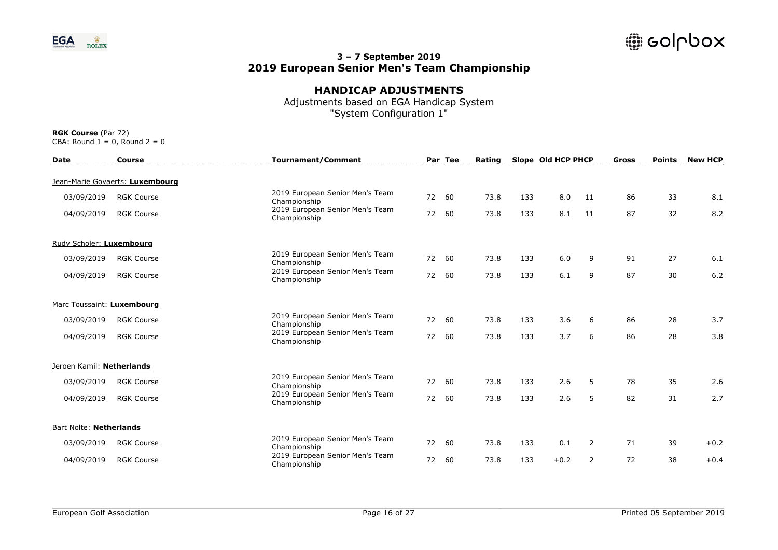

# **HANDICAP ADJUSTMENTS**

Adjustments based on EGA Handicap System "System Configuration 1"

| <b>Date</b>                    | <b>Course</b>                   | <b>Tournament/Comment</b>                       |    | Par Tee | Rating |     | Slope Old HCP PHCP |    | Gross | <b>Points</b> | <b>New HCP</b> |
|--------------------------------|---------------------------------|-------------------------------------------------|----|---------|--------|-----|--------------------|----|-------|---------------|----------------|
|                                | Jean-Marie Govaerts: Luxembourg |                                                 |    |         |        |     |                    |    |       |               |                |
| 03/09/2019                     | <b>RGK Course</b>               | 2019 European Senior Men's Team<br>Championship | 72 | 60      | 73.8   | 133 | 8.0                | 11 | 86    | 33            | 8.1            |
| 04/09/2019                     | <b>RGK Course</b>               | 2019 European Senior Men's Team<br>Championship | 72 | 60      | 73.8   | 133 | 8.1                | 11 | 87    | 32            | 8.2            |
| Rudy Scholer: Luxembourg       |                                 |                                                 |    |         |        |     |                    |    |       |               |                |
| 03/09/2019                     | <b>RGK Course</b>               | 2019 European Senior Men's Team<br>Championship | 72 | 60      | 73.8   | 133 | 6.0                | 9  | 91    | 27            | 6.1            |
| 04/09/2019                     | <b>RGK Course</b>               | 2019 European Senior Men's Team<br>Championship | 72 | 60      | 73.8   | 133 | 6.1                | 9  | 87    | 30            | 6.2            |
| Marc Toussaint: Luxembourg     |                                 |                                                 |    |         |        |     |                    |    |       |               |                |
| 03/09/2019                     | <b>RGK Course</b>               | 2019 European Senior Men's Team<br>Championship | 72 | 60      | 73.8   | 133 | 3.6                | 6  | 86    | 28            | 3.7            |
| 04/09/2019                     | <b>RGK Course</b>               | 2019 European Senior Men's Team<br>Championship | 72 | 60      | 73.8   | 133 | 3.7                | 6  | 86    | 28            | 3.8            |
| Jeroen Kamil: Netherlands      |                                 |                                                 |    |         |        |     |                    |    |       |               |                |
| 03/09/2019                     | <b>RGK Course</b>               | 2019 European Senior Men's Team<br>Championship | 72 | 60      | 73.8   | 133 | 2.6                | 5  | 78    | 35            | 2.6            |
| 04/09/2019                     | <b>RGK Course</b>               | 2019 European Senior Men's Team<br>Championship | 72 | 60      | 73.8   | 133 | 2.6                | 5  | 82    | 31            | 2.7            |
| <b>Bart Nolte: Netherlands</b> |                                 |                                                 |    |         |        |     |                    |    |       |               |                |
| 03/09/2019                     | <b>RGK Course</b>               | 2019 European Senior Men's Team<br>Championship | 72 | 60      | 73.8   | 133 | 0.1                | 2  | 71    | 39            | $+0.2$         |
| 04/09/2019                     | <b>RGK Course</b>               | 2019 European Senior Men's Team<br>Championship | 72 | 60      | 73.8   | 133 | $+0.2$             | 2  | 72    | 38            | $+0.4$         |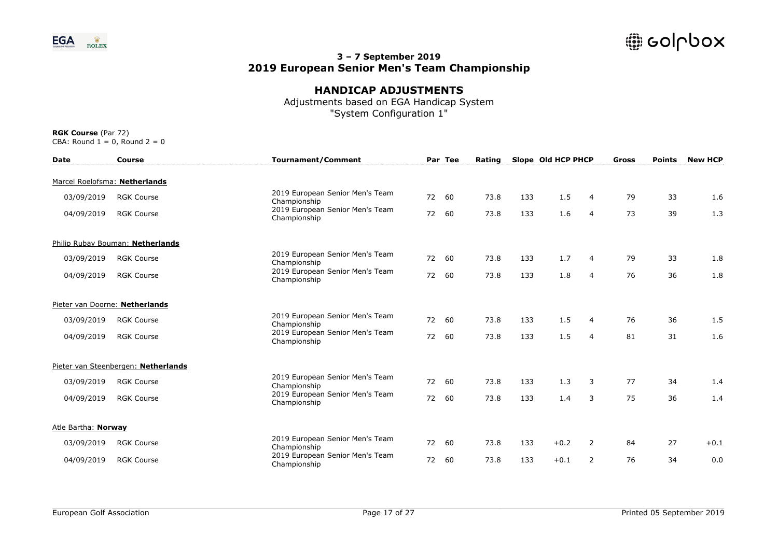

## **HANDICAP ADJUSTMENTS**

Adjustments based on EGA Handicap System "System Configuration 1"

| <b>Date</b>         | <b>Course</b>                       | <b>Tournament/Comment</b>                       |    | Par Tee | Rating |     | Slope Old HCP PHCP |                | Gross | <b>Points</b> | <b>New HCP</b> |
|---------------------|-------------------------------------|-------------------------------------------------|----|---------|--------|-----|--------------------|----------------|-------|---------------|----------------|
|                     | Marcel Roelofsma: Netherlands       |                                                 |    |         |        |     |                    |                |       |               |                |
| 03/09/2019          | <b>RGK Course</b>                   | 2019 European Senior Men's Team<br>Championship | 72 | 60      | 73.8   | 133 | 1.5                | $\overline{4}$ | 79    | 33            | 1.6            |
| 04/09/2019          | <b>RGK Course</b>                   | 2019 European Senior Men's Team<br>Championship | 72 | 60      | 73.8   | 133 | 1.6                | $\overline{4}$ | 73    | 39            | 1.3            |
|                     | Philip Rubay Bouman: Netherlands    |                                                 |    |         |        |     |                    |                |       |               |                |
| 03/09/2019          | <b>RGK Course</b>                   | 2019 European Senior Men's Team<br>Championship | 72 | 60      | 73.8   | 133 | 1.7                | 4              | 79    | 33            | 1.8            |
| 04/09/2019          | <b>RGK Course</b>                   | 2019 European Senior Men's Team<br>Championship | 72 | 60      | 73.8   | 133 | 1.8                | 4              | 76    | 36            | 1.8            |
|                     | Pieter van Doorne: Netherlands      |                                                 |    |         |        |     |                    |                |       |               |                |
| 03/09/2019          | <b>RGK Course</b>                   | 2019 European Senior Men's Team<br>Championship | 72 | 60      | 73.8   | 133 | 1.5                | 4              | 76    | 36            | 1.5            |
| 04/09/2019          | <b>RGK Course</b>                   | 2019 European Senior Men's Team<br>Championship | 72 | 60      | 73.8   | 133 | 1.5                | 4              | 81    | 31            | 1.6            |
|                     | Pieter van Steenbergen: Netherlands |                                                 |    |         |        |     |                    |                |       |               |                |
| 03/09/2019          | <b>RGK Course</b>                   | 2019 European Senior Men's Team<br>Championship | 72 | 60      | 73.8   | 133 | 1.3                | 3              | 77    | 34            | 1.4            |
| 04/09/2019          | <b>RGK Course</b>                   | 2019 European Senior Men's Team<br>Championship | 72 | 60      | 73.8   | 133 | 1.4                | 3              | 75    | 36            | 1.4            |
| Atle Bartha: Norway |                                     |                                                 |    |         |        |     |                    |                |       |               |                |
| 03/09/2019          | <b>RGK Course</b>                   | 2019 European Senior Men's Team<br>Championship | 72 | 60      | 73.8   | 133 | $+0.2$             | 2              | 84    | 27            | $+0.1$         |
| 04/09/2019          | <b>RGK Course</b>                   | 2019 European Senior Men's Team<br>Championship | 72 | 60      | 73.8   | 133 | $+0.1$             | $\overline{2}$ | 76    | 34            | 0.0            |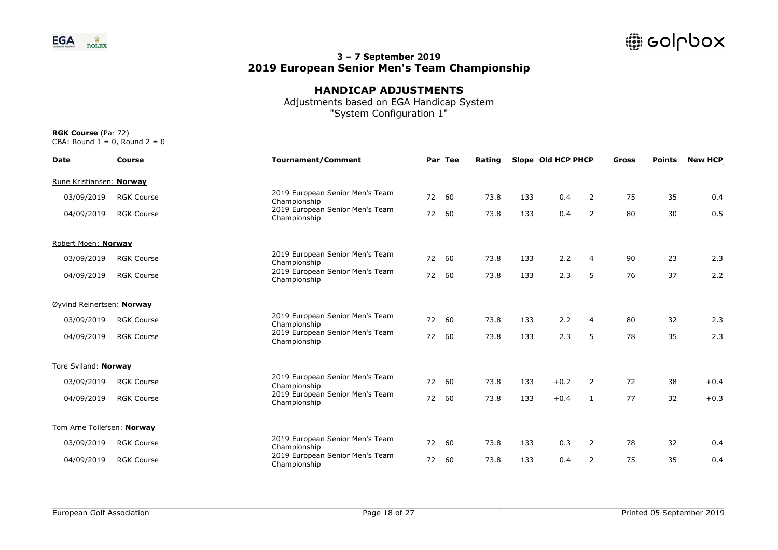

# **HANDICAP ADJUSTMENTS**

Adjustments based on EGA Handicap System "System Configuration 1"

| <b>Date</b>                | <b>Course</b>     | <b>Tournament/Comment</b>                       |    | Par Tee | Rating |     | Slope Old HCP PHCP |                | Gross | <b>Points</b> | <b>New HCP</b> |
|----------------------------|-------------------|-------------------------------------------------|----|---------|--------|-----|--------------------|----------------|-------|---------------|----------------|
| Rune Kristiansen: Norway   |                   |                                                 |    |         |        |     |                    |                |       |               |                |
| 03/09/2019                 | <b>RGK Course</b> | 2019 European Senior Men's Team<br>Championship |    | 72 60   | 73.8   | 133 | 0.4                | $\overline{2}$ | 75    | 35            | 0.4            |
| 04/09/2019                 | <b>RGK Course</b> | 2019 European Senior Men's Team<br>Championship | 72 | - 60    | 73.8   | 133 | 0.4                | $\overline{2}$ | 80    | 30            | 0.5            |
| Robert Moen: Norway        |                   |                                                 |    |         |        |     |                    |                |       |               |                |
| 03/09/2019                 | <b>RGK Course</b> | 2019 European Senior Men's Team<br>Championship | 72 | 60      | 73.8   | 133 | 2.2                | 4              | 90    | 23            | 2.3            |
| 04/09/2019                 | <b>RGK Course</b> | 2019 European Senior Men's Team<br>Championship | 72 | 60      | 73.8   | 133 | 2.3                | 5              | 76    | 37            | 2.2            |
| Øyvind Reinertsen: Norway  |                   |                                                 |    |         |        |     |                    |                |       |               |                |
| 03/09/2019                 | <b>RGK Course</b> | 2019 European Senior Men's Team<br>Championship |    | 72 60   | 73.8   | 133 | 2.2                | 4              | 80    | 32            | 2.3            |
| 04/09/2019                 | <b>RGK Course</b> | 2019 European Senior Men's Team<br>Championship |    | 72 60   | 73.8   | 133 | 2.3                | 5              | 78    | 35            | 2.3            |
| Tore Sviland: Norway       |                   |                                                 |    |         |        |     |                    |                |       |               |                |
| 03/09/2019                 | <b>RGK Course</b> | 2019 European Senior Men's Team<br>Championship |    | 72 60   | 73.8   | 133 | $+0.2$             | $\overline{2}$ | 72    | 38            | $+0.4$         |
| 04/09/2019                 | <b>RGK Course</b> | 2019 European Senior Men's Team<br>Championship | 72 | 60      | 73.8   | 133 | $+0.4$             | 1              | 77    | 32            | $+0.3$         |
| Tom Arne Tollefsen: Norway |                   |                                                 |    |         |        |     |                    |                |       |               |                |
| 03/09/2019                 | <b>RGK Course</b> | 2019 European Senior Men's Team<br>Championship | 72 | 60      | 73.8   | 133 | 0.3                | 2              | 78    | 32            | 0.4            |
| 04/09/2019                 | <b>RGK Course</b> | 2019 European Senior Men's Team<br>Championship | 72 | 60      | 73.8   | 133 | 0.4                | $\overline{2}$ | 75    | 35            | 0.4            |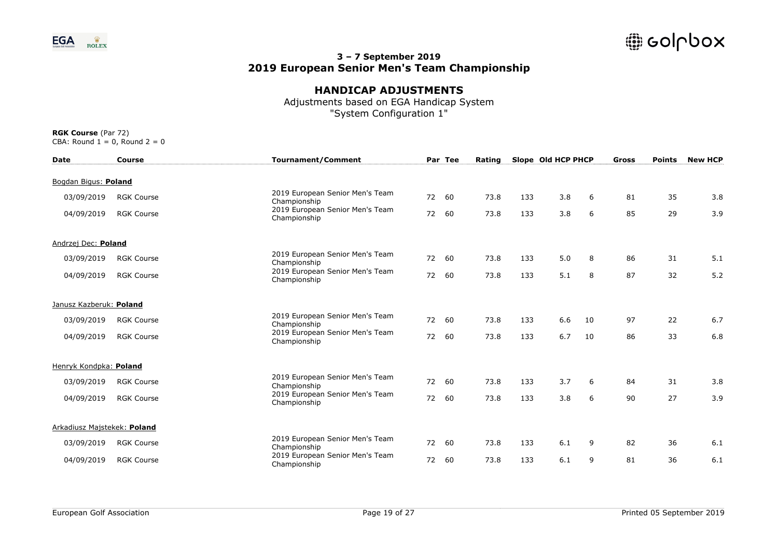

# **HANDICAP ADJUSTMENTS**

Adjustments based on EGA Handicap System "System Configuration 1"

| <b>Date</b>                 | <b>Course</b>     | <b>Tournament/Comment</b>                       |    | Par Tee | Rating |     | Slope Old HCP PHCP |    | Gross | <b>Points</b> | <b>New HCP</b> |
|-----------------------------|-------------------|-------------------------------------------------|----|---------|--------|-----|--------------------|----|-------|---------------|----------------|
| Bogdan Bigus: Poland        |                   |                                                 |    |         |        |     |                    |    |       |               |                |
| 03/09/2019                  | <b>RGK Course</b> | 2019 European Senior Men's Team<br>Championship | 72 | 60      | 73.8   | 133 | 3.8                | 6  | 81    | 35            | 3.8            |
| 04/09/2019                  | <b>RGK Course</b> | 2019 European Senior Men's Team<br>Championship | 72 | 60      | 73.8   | 133 | 3.8                | 6  | 85    | 29            | 3.9            |
| Andrzej Dec: Poland         |                   |                                                 |    |         |        |     |                    |    |       |               |                |
| 03/09/2019                  | <b>RGK Course</b> | 2019 European Senior Men's Team<br>Championship | 72 | 60      | 73.8   | 133 | 5.0                | 8  | 86    | 31            | 5.1            |
| 04/09/2019                  | <b>RGK Course</b> | 2019 European Senior Men's Team<br>Championship | 72 | 60      | 73.8   | 133 | 5.1                | 8  | 87    | 32            | 5.2            |
| Janusz Kazberuk: Poland     |                   |                                                 |    |         |        |     |                    |    |       |               |                |
| 03/09/2019                  | <b>RGK Course</b> | 2019 European Senior Men's Team<br>Championship |    | 72 60   | 73.8   | 133 | 6.6                | 10 | 97    | 22            | 6.7            |
| 04/09/2019                  | <b>RGK Course</b> | 2019 European Senior Men's Team<br>Championship | 72 | 60      | 73.8   | 133 | 6.7                | 10 | 86    | 33            | 6.8            |
| Henryk Kondpka: Poland      |                   |                                                 |    |         |        |     |                    |    |       |               |                |
| 03/09/2019                  | <b>RGK Course</b> | 2019 European Senior Men's Team<br>Championship | 72 | 60      | 73.8   | 133 | 3.7                | 6  | 84    | 31            | 3.8            |
| 04/09/2019                  | <b>RGK Course</b> | 2019 European Senior Men's Team<br>Championship | 72 | 60      | 73.8   | 133 | 3.8                | 6  | 90    | 27            | 3.9            |
| Arkadiusz Majstekek: Poland |                   |                                                 |    |         |        |     |                    |    |       |               |                |
| 03/09/2019                  | <b>RGK Course</b> | 2019 European Senior Men's Team<br>Championship | 72 | 60      | 73.8   | 133 | 6.1                | 9  | 82    | 36            | 6.1            |
| 04/09/2019                  | <b>RGK Course</b> | 2019 European Senior Men's Team<br>Championship | 72 | 60      | 73.8   | 133 | 6.1                | 9  | 81    | 36            | 6.1            |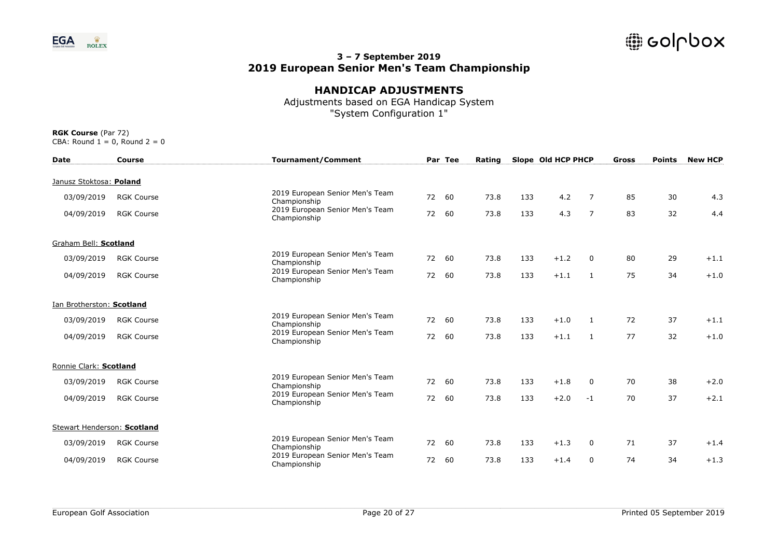

## **HANDICAP ADJUSTMENTS**

Adjustments based on EGA Handicap System "System Configuration 1"

| <b>Date</b>                 | <b>Course</b>     | <b>Tournament/Comment</b>                       |    | Par Tee | Rating |     | Slope Old HCP PHCP |                | Gross | <b>Points</b> | <b>New HCP</b> |
|-----------------------------|-------------------|-------------------------------------------------|----|---------|--------|-----|--------------------|----------------|-------|---------------|----------------|
| Janusz Stoktosa: Poland     |                   |                                                 |    |         |        |     |                    |                |       |               |                |
| 03/09/2019                  | <b>RGK Course</b> | 2019 European Senior Men's Team<br>Championship | 72 | 60      | 73.8   | 133 | 4.2                | 7              | 85    | 30            | 4.3            |
| 04/09/2019                  | <b>RGK Course</b> | 2019 European Senior Men's Team<br>Championship | 72 | 60      | 73.8   | 133 | 4.3                | $\overline{7}$ | 83    | 32            | 4.4            |
| Graham Bell: Scotland       |                   |                                                 |    |         |        |     |                    |                |       |               |                |
| 03/09/2019                  | <b>RGK Course</b> | 2019 European Senior Men's Team<br>Championship | 72 | 60      | 73.8   | 133 | $+1.2$             | $\mathbf 0$    | 80    | 29            | $+1.1$         |
| 04/09/2019                  | <b>RGK Course</b> | 2019 European Senior Men's Team<br>Championship | 72 | 60      | 73.8   | 133 | $+1.1$             | $\mathbf{1}$   | 75    | 34            | $+1.0$         |
| Ian Brotherston: Scotland   |                   |                                                 |    |         |        |     |                    |                |       |               |                |
| 03/09/2019                  | <b>RGK Course</b> | 2019 European Senior Men's Team<br>Championship | 72 | 60      | 73.8   | 133 | $+1.0$             | 1              | 72    | 37            | $+1.1$         |
| 04/09/2019                  | <b>RGK Course</b> | 2019 European Senior Men's Team<br>Championship | 72 | 60      | 73.8   | 133 | $+1.1$             | 1              | 77    | 32            | $+1.0$         |
| Ronnie Clark: Scotland      |                   |                                                 |    |         |        |     |                    |                |       |               |                |
| 03/09/2019                  | <b>RGK Course</b> | 2019 European Senior Men's Team<br>Championship | 72 | 60      | 73.8   | 133 | $+1.8$             | $\mathbf 0$    | 70    | 38            | $+2.0$         |
| 04/09/2019                  | <b>RGK Course</b> | 2019 European Senior Men's Team<br>Championship | 72 | 60      | 73.8   | 133 | $+2.0$             | $-1$           | 70    | 37            | $+2.1$         |
| Stewart Henderson: Scotland |                   |                                                 |    |         |        |     |                    |                |       |               |                |
| 03/09/2019                  | <b>RGK Course</b> | 2019 European Senior Men's Team<br>Championship | 72 | 60      | 73.8   | 133 | $+1.3$             | 0              | 71    | 37            | $+1.4$         |
| 04/09/2019                  | <b>RGK Course</b> | 2019 European Senior Men's Team<br>Championship | 72 | 60      | 73.8   | 133 | $+1.4$             | 0              | 74    | 34            | $+1.3$         |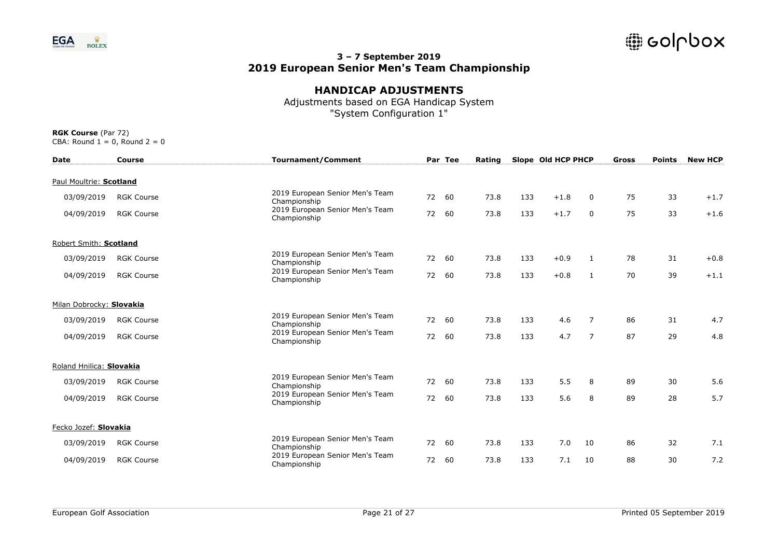

## **HANDICAP ADJUSTMENTS**

Adjustments based on EGA Handicap System "System Configuration 1"

| <b>Date</b>              | <b>Course</b>     | <b>Tournament/Comment</b>                       |       | Par Tee | Rating |     | Slope Old HCP PHCP |                | <b>Gross</b> | <b>Points</b> | <b>New HCP</b> |
|--------------------------|-------------------|-------------------------------------------------|-------|---------|--------|-----|--------------------|----------------|--------------|---------------|----------------|
| Paul Moultrie: Scotland  |                   |                                                 |       |         |        |     |                    |                |              |               |                |
| 03/09/2019               | <b>RGK Course</b> | 2019 European Senior Men's Team<br>Championship | 72    | 60      | 73.8   | 133 | $+1.8$             | $\Omega$       | 75           | 33            | $+1.7$         |
| 04/09/2019               | <b>RGK Course</b> | 2019 European Senior Men's Team<br>Championship | 72    | 60      | 73.8   | 133 | $+1.7$             | 0              | 75           | 33            | $+1.6$         |
| Robert Smith: Scotland   |                   |                                                 |       |         |        |     |                    |                |              |               |                |
| 03/09/2019               | <b>RGK Course</b> | 2019 European Senior Men's Team<br>Championship | 72    | 60      | 73.8   | 133 | $+0.9$             | $\mathbf{1}$   | 78           | 31            | $+0.8$         |
| 04/09/2019               | <b>RGK Course</b> | 2019 European Senior Men's Team<br>Championship | 72    | 60      | 73.8   | 133 | $+0.8$             | $\mathbf{1}$   | 70           | 39            | $+1.1$         |
| Milan Dobrocky: Slovakia |                   |                                                 |       |         |        |     |                    |                |              |               |                |
| 03/09/2019               | <b>RGK Course</b> | 2019 European Senior Men's Team<br>Championship | 72 60 |         | 73.8   | 133 | 4.6                | 7              | 86           | 31            | 4.7            |
| 04/09/2019               | <b>RGK Course</b> | 2019 European Senior Men's Team<br>Championship | 72 60 |         | 73.8   | 133 | 4.7                | $\overline{7}$ | 87           | 29            | 4.8            |
| Roland Hnilica: Slovakia |                   |                                                 |       |         |        |     |                    |                |              |               |                |
| 03/09/2019               | <b>RGK Course</b> | 2019 European Senior Men's Team<br>Championship | 72    | 60      | 73.8   | 133 | 5.5                | 8              | 89           | 30            | 5.6            |
| 04/09/2019               | <b>RGK Course</b> | 2019 European Senior Men's Team<br>Championship | 72    | 60      | 73.8   | 133 | 5.6                | 8              | 89           | 28            | 5.7            |
| Fecko Jozef: Slovakia    |                   |                                                 |       |         |        |     |                    |                |              |               |                |
| 03/09/2019               | <b>RGK Course</b> | 2019 European Senior Men's Team<br>Championship | 72    | 60      | 73.8   | 133 | 7.0                | 10             | 86           | 32            | 7.1            |
| 04/09/2019               | <b>RGK Course</b> | 2019 European Senior Men's Team<br>Championship | 72    | 60      | 73.8   | 133 | 7.1                | 10             | 88           | 30            | 7.2            |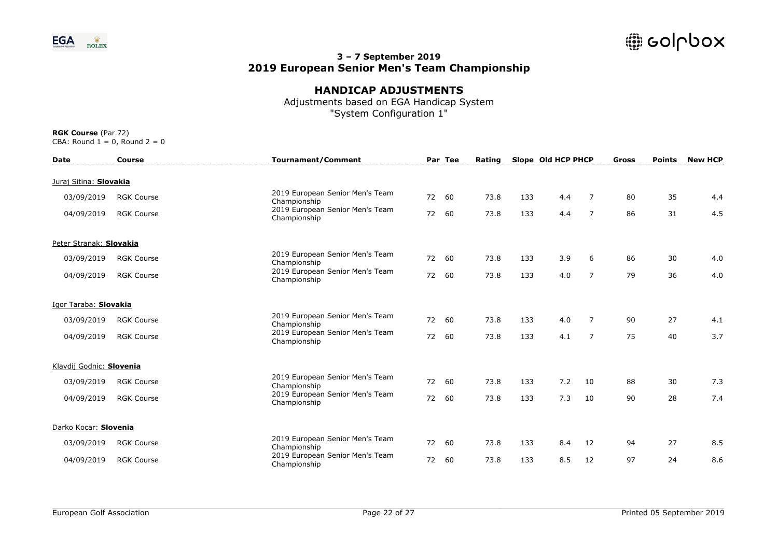

# **HANDICAP ADJUSTMENTS**

Adjustments based on EGA Handicap System "System Configuration 1"

| <b>Date</b>              | <b>Course</b>     | <b>Tournament/Comment</b>                       |    | Par Tee | Rating |     | Slope Old HCP PHCP |                | Gross | <b>Points</b> | <b>New HCP</b> |
|--------------------------|-------------------|-------------------------------------------------|----|---------|--------|-----|--------------------|----------------|-------|---------------|----------------|
| Juraj Sitina: Slovakia   |                   |                                                 |    |         |        |     |                    |                |       |               |                |
| 03/09/2019               | <b>RGK Course</b> | 2019 European Senior Men's Team<br>Championship | 72 | 60      | 73.8   | 133 | 4.4                | 7              | 80    | 35            | 4.4            |
| 04/09/2019               | <b>RGK Course</b> | 2019 European Senior Men's Team<br>Championship | 72 | 60      | 73.8   | 133 | 4.4                | $\overline{7}$ | 86    | 31            | 4.5            |
| Peter Stranak: Slovakia  |                   |                                                 |    |         |        |     |                    |                |       |               |                |
| 03/09/2019               | <b>RGK Course</b> | 2019 European Senior Men's Team<br>Championship | 72 | 60      | 73.8   | 133 | 3.9                | 6              | 86    | 30            | 4.0            |
| 04/09/2019               | <b>RGK Course</b> | 2019 European Senior Men's Team<br>Championship | 72 | 60      | 73.8   | 133 | 4.0                | $\overline{7}$ | 79    | 36            | 4.0            |
| Igor Taraba: Slovakia    |                   |                                                 |    |         |        |     |                    |                |       |               |                |
| 03/09/2019               | <b>RGK Course</b> | 2019 European Senior Men's Team<br>Championship | 72 | 60      | 73.8   | 133 | 4.0                | 7              | 90    | 27            | 4.1            |
| 04/09/2019               | <b>RGK Course</b> | 2019 European Senior Men's Team<br>Championship | 72 | 60      | 73.8   | 133 | 4.1                | $\overline{7}$ | 75    | 40            | 3.7            |
| Klavdij Godnic: Slovenia |                   |                                                 |    |         |        |     |                    |                |       |               |                |
| 03/09/2019               | <b>RGK Course</b> | 2019 European Senior Men's Team<br>Championship | 72 | 60      | 73.8   | 133 | 7.2                | 10             | 88    | 30            | 7.3            |
| 04/09/2019               | <b>RGK Course</b> | 2019 European Senior Men's Team<br>Championship | 72 | 60      | 73.8   | 133 | 7.3                | 10             | 90    | 28            | 7.4            |
| Darko Kocar: Slovenia    |                   |                                                 |    |         |        |     |                    |                |       |               |                |
| 03/09/2019               | <b>RGK Course</b> | 2019 European Senior Men's Team<br>Championship | 72 | 60      | 73.8   | 133 | 8.4                | 12             | 94    | 27            | 8.5            |
| 04/09/2019               | <b>RGK Course</b> | 2019 European Senior Men's Team<br>Championship | 72 | 60      | 73.8   | 133 | 8.5                | 12             | 97    | 24            | 8.6            |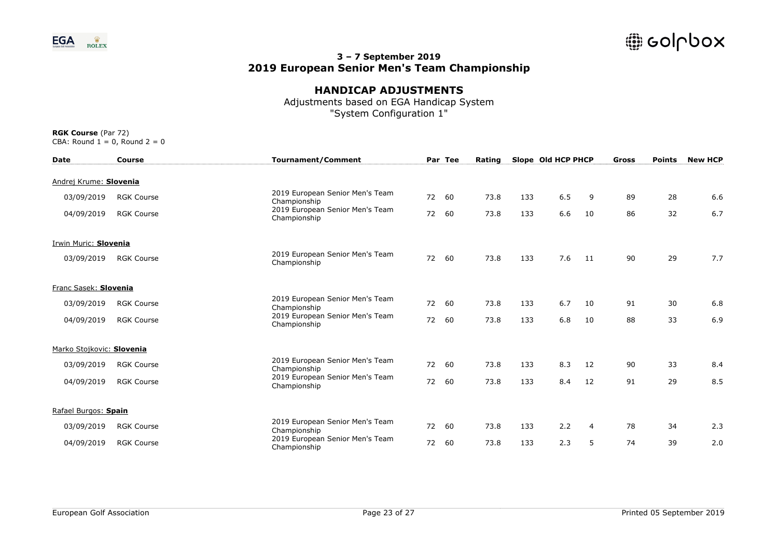

# **HANDICAP ADJUSTMENTS**

Adjustments based on EGA Handicap System "System Configuration 1"

| <b>Date</b>               | Course            | <b>Tournament/Comment</b>                       |    | Par Tee | Rating |     | Slope Old HCP PHCP |                | Gross | <b>Points</b> | <b>New HCP</b> |
|---------------------------|-------------------|-------------------------------------------------|----|---------|--------|-----|--------------------|----------------|-------|---------------|----------------|
| Andrej Krume: Slovenia    |                   |                                                 |    |         |        |     |                    |                |       |               |                |
| 03/09/2019                | <b>RGK Course</b> | 2019 European Senior Men's Team<br>Championship | 72 | 60      | 73.8   | 133 | 6.5                | 9              | 89    | 28            | 6.6            |
| 04/09/2019                | <b>RGK Course</b> | 2019 European Senior Men's Team<br>Championship | 72 | 60      | 73.8   | 133 | 6.6                | 10             | 86    | 32            | 6.7            |
| Irwin Muric: Slovenia     |                   |                                                 |    |         |        |     |                    |                |       |               |                |
| 03/09/2019                | <b>RGK Course</b> | 2019 European Senior Men's Team<br>Championship | 72 | 60      | 73.8   | 133 | 7.6                | 11             | 90    | 29            | 7.7            |
| Franc Sasek: Slovenia     |                   |                                                 |    |         |        |     |                    |                |       |               |                |
| 03/09/2019                | <b>RGK Course</b> | 2019 European Senior Men's Team<br>Championship |    | 72 60   | 73.8   | 133 | 6.7                | 10             | 91    | 30            | 6.8            |
| 04/09/2019                | <b>RGK Course</b> | 2019 European Senior Men's Team<br>Championship | 72 | 60      | 73.8   | 133 | 6.8                | 10             | 88    | 33            | 6.9            |
| Marko Stojkovic: Slovenia |                   |                                                 |    |         |        |     |                    |                |       |               |                |
| 03/09/2019                | <b>RGK Course</b> | 2019 European Senior Men's Team<br>Championship | 72 | 60      | 73.8   | 133 | 8.3                | 12             | 90    | 33            | 8.4            |
| 04/09/2019                | <b>RGK Course</b> | 2019 European Senior Men's Team<br>Championship | 72 | 60      | 73.8   | 133 | 8.4                | 12             | 91    | 29            | 8.5            |
| Rafael Burgos: Spain      |                   |                                                 |    |         |        |     |                    |                |       |               |                |
| 03/09/2019                | <b>RGK Course</b> | 2019 European Senior Men's Team<br>Championship | 72 | 60      | 73.8   | 133 | 2.2                | $\overline{4}$ | 78    | 34            | 2.3            |
| 04/09/2019                | <b>RGK Course</b> | 2019 European Senior Men's Team<br>Championship |    | 72 60   | 73.8   | 133 | 2.3                | 5              | 74    | 39            | 2.0            |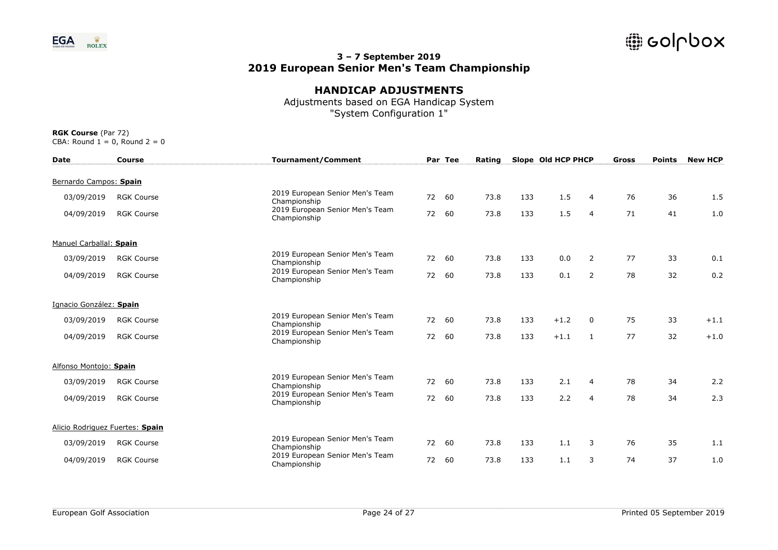

## **HANDICAP ADJUSTMENTS**

Adjustments based on EGA Handicap System "System Configuration 1"

| <b>Date</b>                     | <b>Course</b>     | <b>Tournament/Comment</b>                       |    | Par Tee | Rating |     | Slope Old HCP PHCP |                | Gross | <b>Points</b> | <b>New HCP</b> |
|---------------------------------|-------------------|-------------------------------------------------|----|---------|--------|-----|--------------------|----------------|-------|---------------|----------------|
| Bernardo Campos: Spain          |                   |                                                 |    |         |        |     |                    |                |       |               |                |
| 03/09/2019                      | <b>RGK Course</b> | 2019 European Senior Men's Team<br>Championship | 72 | 60      | 73.8   | 133 | 1.5                | $\overline{a}$ | 76    | 36            | 1.5            |
| 04/09/2019                      | <b>RGK Course</b> | 2019 European Senior Men's Team<br>Championship | 72 | 60      | 73.8   | 133 | 1.5                | $\overline{4}$ | 71    | 41            | 1.0            |
| Manuel Carballal: Spain         |                   |                                                 |    |         |        |     |                    |                |       |               |                |
| 03/09/2019                      | <b>RGK Course</b> | 2019 European Senior Men's Team<br>Championship | 72 | 60      | 73.8   | 133 | 0.0                | 2              | 77    | 33            | 0.1            |
| 04/09/2019                      | <b>RGK Course</b> | 2019 European Senior Men's Team<br>Championship | 72 | 60      | 73.8   | 133 | 0.1                | 2              | 78    | 32            | 0.2            |
| Ignacio González: Spain         |                   |                                                 |    |         |        |     |                    |                |       |               |                |
| 03/09/2019                      | <b>RGK Course</b> | 2019 European Senior Men's Team<br>Championship |    | 72 60   | 73.8   | 133 | $+1.2$             | 0              | 75    | 33            | $+1.1$         |
| 04/09/2019                      | <b>RGK Course</b> | 2019 European Senior Men's Team<br>Championship |    | 72 60   | 73.8   | 133 | $+1.1$             | 1              | 77    | 32            | $+1.0$         |
| Alfonso Montojo: Spain          |                   |                                                 |    |         |        |     |                    |                |       |               |                |
| 03/09/2019                      | <b>RGK Course</b> | 2019 European Senior Men's Team<br>Championship | 72 | 60      | 73.8   | 133 | 2.1                | 4              | 78    | 34            | 2.2            |
| 04/09/2019                      | <b>RGK Course</b> | 2019 European Senior Men's Team<br>Championship | 72 | 60      | 73.8   | 133 | 2.2                | $\overline{4}$ | 78    | 34            | 2.3            |
| Alicio Rodriguez Fuertes: Spain |                   |                                                 |    |         |        |     |                    |                |       |               |                |
| 03/09/2019                      | <b>RGK Course</b> | 2019 European Senior Men's Team<br>Championship | 72 | 60      | 73.8   | 133 | 1.1                | 3              | 76    | 35            | 1.1            |
| 04/09/2019                      | <b>RGK Course</b> | 2019 European Senior Men's Team<br>Championship | 72 | 60      | 73.8   | 133 | 1.1                | 3              | 74    | 37            | 1.0            |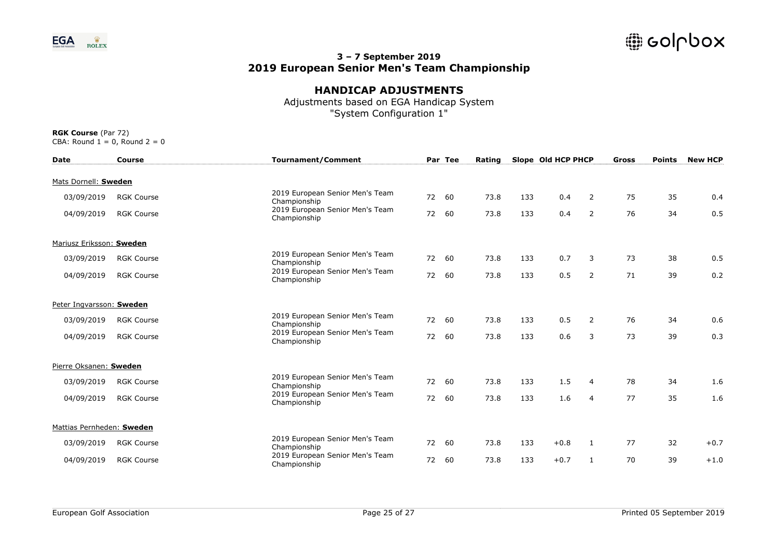

# **HANDICAP ADJUSTMENTS**

Adjustments based on EGA Handicap System "System Configuration 1"

| <b>Date</b>               | Course            | <b>Tournament/Comment</b>                       |    | Par Tee | Rating |     | Slope Old HCP PHCP |                | Gross | <b>Points</b> | <b>New HCP</b> |
|---------------------------|-------------------|-------------------------------------------------|----|---------|--------|-----|--------------------|----------------|-------|---------------|----------------|
| Mats Dornell: Sweden      |                   |                                                 |    |         |        |     |                    |                |       |               |                |
| 03/09/2019                | <b>RGK Course</b> | 2019 European Senior Men's Team<br>Championship | 72 | 60      | 73.8   | 133 | 0.4                | 2              | 75    | 35            | 0.4            |
| 04/09/2019                | <b>RGK Course</b> | 2019 European Senior Men's Team<br>Championship | 72 | 60      | 73.8   | 133 | 0.4                | $\overline{2}$ | 76    | 34            | 0.5            |
| Mariusz Eriksson: Sweden  |                   |                                                 |    |         |        |     |                    |                |       |               |                |
| 03/09/2019                | <b>RGK Course</b> | 2019 European Senior Men's Team<br>Championship | 72 | 60      | 73.8   | 133 | 0.7                | 3              | 73    | 38            | 0.5            |
| 04/09/2019                | <b>RGK Course</b> | 2019 European Senior Men's Team<br>Championship | 72 | 60      | 73.8   | 133 | 0.5                | $\overline{2}$ | 71    | 39            | 0.2            |
| Peter Ingvarsson: Sweden  |                   |                                                 |    |         |        |     |                    |                |       |               |                |
| 03/09/2019                | <b>RGK Course</b> | 2019 European Senior Men's Team<br>Championship |    | 72 60   | 73.8   | 133 | 0.5                | 2              | 76    | 34            | 0.6            |
| 04/09/2019                | <b>RGK Course</b> | 2019 European Senior Men's Team<br>Championship |    | 72 60   | 73.8   | 133 | 0.6                | 3              | 73    | 39            | 0.3            |
| Pierre Oksanen: Sweden    |                   |                                                 |    |         |        |     |                    |                |       |               |                |
| 03/09/2019                | <b>RGK Course</b> | 2019 European Senior Men's Team<br>Championship | 72 | 60      | 73.8   | 133 | 1.5                | 4              | 78    | 34            | 1.6            |
| 04/09/2019                | <b>RGK Course</b> | 2019 European Senior Men's Team<br>Championship | 72 | 60      | 73.8   | 133 | 1.6                | 4              | 77    | 35            | 1.6            |
| Mattias Pernheden: Sweden |                   |                                                 |    |         |        |     |                    |                |       |               |                |
| 03/09/2019                | <b>RGK Course</b> | 2019 European Senior Men's Team<br>Championship | 72 | 60      | 73.8   | 133 | $+0.8$             | 1              | 77    | 32            | $+0.7$         |
| 04/09/2019                | <b>RGK Course</b> | 2019 European Senior Men's Team<br>Championship | 72 | 60      | 73.8   | 133 | $+0.7$             | 1              | 70    | 39            | $+1.0$         |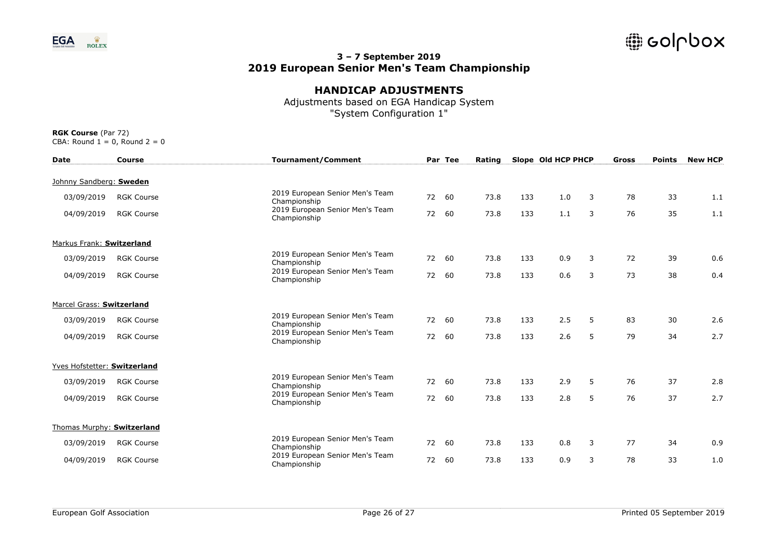

# **HANDICAP ADJUSTMENTS**

Adjustments based on EGA Handicap System "System Configuration 1"

| <b>Date</b>                  | <b>Course</b>     | <b>Tournament/Comment</b>                       |    | Par Tee | Rating |     | Slope Old HCP PHCP |   | Gross | <b>Points</b> | <b>New HCP</b> |
|------------------------------|-------------------|-------------------------------------------------|----|---------|--------|-----|--------------------|---|-------|---------------|----------------|
| Johnny Sandberg: Sweden      |                   |                                                 |    |         |        |     |                    |   |       |               |                |
| 03/09/2019                   | <b>RGK Course</b> | 2019 European Senior Men's Team<br>Championship | 72 | 60      | 73.8   | 133 | 1.0                | 3 | 78    | 33            | 1.1            |
| 04/09/2019                   | <b>RGK Course</b> | 2019 European Senior Men's Team<br>Championship | 72 | 60      | 73.8   | 133 | 1.1                | 3 | 76    | 35            | 1.1            |
| Markus Frank: Switzerland    |                   |                                                 |    |         |        |     |                    |   |       |               |                |
| 03/09/2019                   | <b>RGK Course</b> | 2019 European Senior Men's Team<br>Championship | 72 | 60      | 73.8   | 133 | 0.9                | 3 | 72    | 39            | 0.6            |
| 04/09/2019                   | <b>RGK Course</b> | 2019 European Senior Men's Team<br>Championship | 72 | 60      | 73.8   | 133 | 0.6                | 3 | 73    | 38            | 0.4            |
| Marcel Grass: Switzerland    |                   |                                                 |    |         |        |     |                    |   |       |               |                |
| 03/09/2019                   | <b>RGK Course</b> | 2019 European Senior Men's Team<br>Championship |    | 72 60   | 73.8   | 133 | 2.5                | 5 | 83    | 30            | 2.6            |
| 04/09/2019                   | <b>RGK Course</b> | 2019 European Senior Men's Team<br>Championship |    | 72 60   | 73.8   | 133 | 2.6                | 5 | 79    | 34            | 2.7            |
| Yves Hofstetter: Switzerland |                   |                                                 |    |         |        |     |                    |   |       |               |                |
| 03/09/2019                   | <b>RGK Course</b> | 2019 European Senior Men's Team<br>Championship | 72 | 60      | 73.8   | 133 | 2.9                | 5 | 76    | 37            | 2.8            |
| 04/09/2019                   | <b>RGK Course</b> | 2019 European Senior Men's Team<br>Championship | 72 | 60      | 73.8   | 133 | 2.8                | 5 | 76    | 37            | 2.7            |
| Thomas Murphy: Switzerland   |                   |                                                 |    |         |        |     |                    |   |       |               |                |
| 03/09/2019                   | <b>RGK Course</b> | 2019 European Senior Men's Team<br>Championship | 72 | 60      | 73.8   | 133 | 0.8                | 3 | 77    | 34            | 0.9            |
| 04/09/2019                   | <b>RGK Course</b> | 2019 European Senior Men's Team<br>Championship | 72 | 60      | 73.8   | 133 | 0.9                | 3 | 78    | 33            | 1.0            |